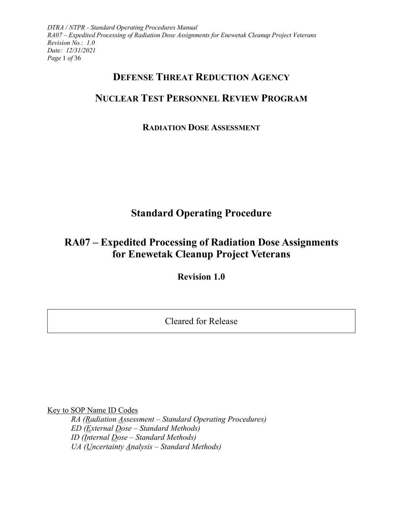*DTRA / NTPR - Standard Operating Procedures Manual RA07 – Expedited Processing of Radiation Dose Assignments for Enewetak Cleanup Project Veterans Revision No.: 1.0 Date: 12/31/2021 Page* 1 *of* 36

# **DEFENSE THREAT REDUCTION AGENCY**

# **NUCLEAR TEST PERSONNEL REVIEW PROGRAM**

## **RADIATION DOSE ASSESSMENT**

# **Standard Operating Procedure**

# **RA07 – Expedited Processing of Radiation Dose Assignments for Enewetak Cleanup Project Veterans**

**Revision 1.0**

Cleared for Release

Key to SOP Name ID Codes

*RA (Radiation Assessment – Standard Operating Procedures) ED (External Dose – Standard Methods) ID (Internal Dose – Standard Methods) UA (Uncertainty Analysis – Standard Methods)*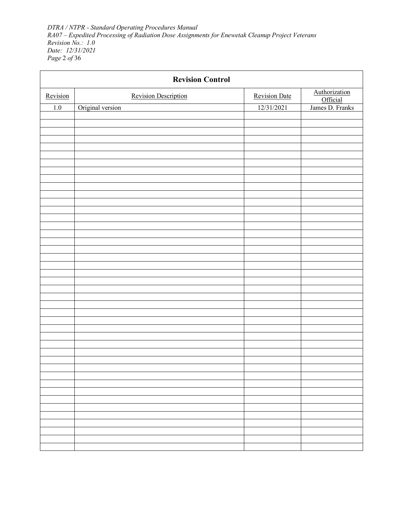*DTRA / NTPR - Standard Operating Procedures Manual RA07 – Expedited Processing of Radiation Dose Assignments for Enewetak Cleanup Project Veterans Revision No.: 1.0 Date: 12/31/2021 Page* 2 *of* 36

| <b>Revision Control</b> |                             |                      |                           |  |
|-------------------------|-----------------------------|----------------------|---------------------------|--|
| Revision                | <b>Revision Description</b> | <b>Revision Date</b> | Authorization<br>Official |  |
| 1.0                     | Original version            | 12/31/2021           | James D. Franks           |  |
|                         |                             |                      |                           |  |
|                         |                             |                      |                           |  |
|                         |                             |                      |                           |  |
|                         |                             |                      |                           |  |
|                         |                             |                      |                           |  |
|                         |                             |                      |                           |  |
|                         |                             |                      |                           |  |
|                         |                             |                      |                           |  |
|                         |                             |                      |                           |  |
|                         |                             |                      |                           |  |
|                         |                             |                      |                           |  |
|                         |                             |                      |                           |  |
|                         |                             |                      |                           |  |
|                         |                             |                      |                           |  |
|                         |                             |                      |                           |  |
|                         |                             |                      |                           |  |
|                         |                             |                      |                           |  |
|                         |                             |                      |                           |  |
|                         |                             |                      |                           |  |
|                         |                             |                      |                           |  |
|                         |                             |                      |                           |  |
|                         |                             |                      |                           |  |
|                         |                             |                      |                           |  |
|                         |                             |                      |                           |  |
|                         |                             |                      |                           |  |
|                         |                             |                      |                           |  |
|                         |                             |                      |                           |  |
|                         |                             |                      |                           |  |
|                         |                             |                      |                           |  |
|                         |                             |                      |                           |  |
|                         |                             |                      |                           |  |
|                         |                             |                      |                           |  |
|                         |                             |                      |                           |  |
|                         |                             |                      |                           |  |
|                         |                             |                      |                           |  |
|                         |                             |                      |                           |  |
|                         |                             |                      |                           |  |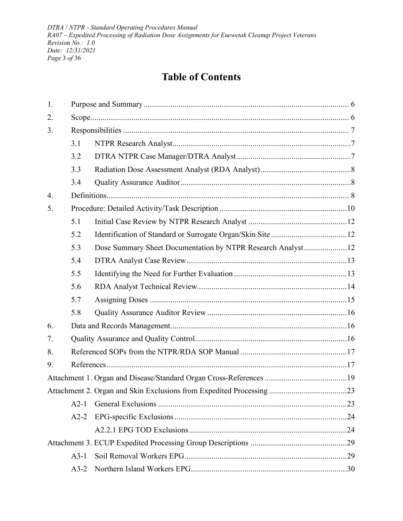*DTRA / NTPR - Standard Operating Procedures Manual RA07 – Expedited Processing of Radiation Dose Assignments for Enewetak Cleanup Project Veterans Revision No.: 1.0 Date: 12/31/2021 Page* 3 *of* 36

# **Table of Contents**

| 1. |        |                                                             |  |
|----|--------|-------------------------------------------------------------|--|
| 2. |        |                                                             |  |
| 3. |        |                                                             |  |
|    | 3.1    |                                                             |  |
|    | 3.2    |                                                             |  |
|    | 3.3    |                                                             |  |
|    | 3.4    |                                                             |  |
| 4. |        |                                                             |  |
| 5. |        |                                                             |  |
|    | 5.1    |                                                             |  |
|    | 5.2    |                                                             |  |
|    | 5.3    | Dose Summary Sheet Documentation by NTPR Research Analyst12 |  |
|    | 5.4    |                                                             |  |
|    | 5.5    |                                                             |  |
|    | 5.6    |                                                             |  |
|    | 5.7    |                                                             |  |
|    | 5.8    |                                                             |  |
| 6. |        |                                                             |  |
| 7. |        |                                                             |  |
| 8. |        |                                                             |  |
| 9. |        |                                                             |  |
|    |        |                                                             |  |
|    |        |                                                             |  |
|    | $A2-1$ |                                                             |  |
|    | $A2-2$ |                                                             |  |
|    |        |                                                             |  |
|    |        |                                                             |  |
|    | $A3-1$ |                                                             |  |
|    | $A3-2$ |                                                             |  |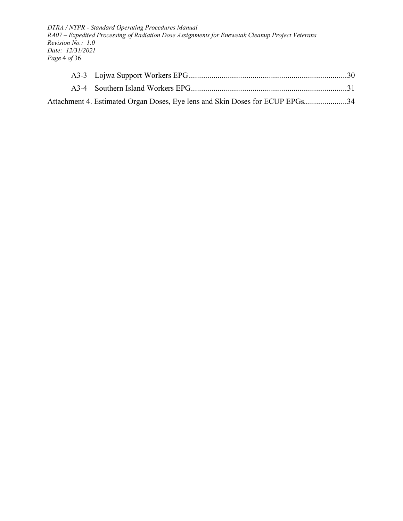*DTRA / NTPR - Standard Operating Procedures Manual RA07 – Expedited Processing of Radiation Dose Assignments for Enewetak Cleanup Project Veterans Revision No.: 1.0 Date: 12/31/2021 Page* 4 *of* 36

| Attachment 4. Estimated Organ Doses, Eye lens and Skin Doses for ECUP EPGs34 |  |
|------------------------------------------------------------------------------|--|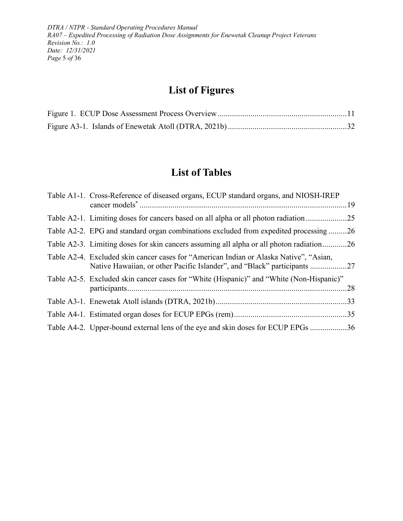*DTRA / NTPR - Standard Operating Procedures Manual RA07 – Expedited Processing of Radiation Dose Assignments for Enewetak Cleanup Project Veterans Revision No.: 1.0 Date: 12/31/2021 Page* 5 *of* 36

# **List of Figures**

# **List of Tables**

| Table A1-1. Cross-Reference of diseased organs, ECUP standard organs, and NIOSH-IREP                                                                            |  |
|-----------------------------------------------------------------------------------------------------------------------------------------------------------------|--|
| Table A2-1. Limiting doses for cancers based on all alpha or all photon radiation 25                                                                            |  |
| Table A2-2. EPG and standard organ combinations excluded from expedited processing26                                                                            |  |
| Table A2-3. Limiting doses for skin cancers assuming all alpha or all photon radiation26                                                                        |  |
| Table A2-4. Excluded skin cancer cases for "American Indian or Alaska Native", "Asian,<br>Native Hawaiian, or other Pacific Islander", and "Black" participants |  |
| Table A2-5. Excluded skin cancer cases for "White (Hispanic)" and "White (Non-Hispanic)"                                                                        |  |
|                                                                                                                                                                 |  |
|                                                                                                                                                                 |  |
| Table A4-2. Upper-bound external lens of the eye and skin doses for ECUP EPGs 36                                                                                |  |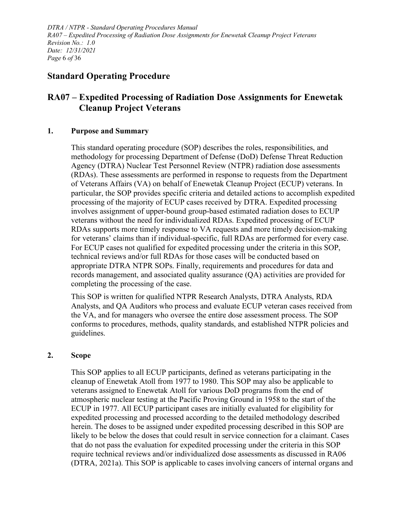*DTRA / NTPR - Standard Operating Procedures Manual RA07 – Expedited Processing of Radiation Dose Assignments for Enewetak Cleanup Project Veterans Revision No.: 1.0 Date: 12/31/2021 Page* 6 *of* 36

## **Standard Operating Procedure**

## **RA07 – Expedited Processing of Radiation Dose Assignments for Enewetak Cleanup Project Veterans**

#### <span id="page-5-0"></span>**1. Purpose and Summary**

This standard operating procedure (SOP) describes the roles, responsibilities, and methodology for processing Department of Defense (DoD) Defense Threat Reduction Agency (DTRA) Nuclear Test Personnel Review (NTPR) radiation dose assessments (RDAs). These assessments are performed in response to requests from the Department of Veterans Affairs (VA) on behalf of Enewetak Cleanup Project (ECUP) veterans. In particular, the SOP provides specific criteria and detailed actions to accomplish expedited processing of the majority of ECUP cases received by DTRA. Expedited processing involves assignment of upper-bound group-based estimated radiation doses to ECUP veterans without the need for individualized RDAs. Expedited processing of ECUP RDAs supports more timely response to VA requests and more timely decision-making for veterans' claims than if individual-specific, full RDAs are performed for every case. For ECUP cases not qualified for expedited processing under the criteria in this SOP, technical reviews and/or full RDAs for those cases will be conducted based on appropriate DTRA NTPR SOPs. Finally, requirements and procedures for data and records management, and associated quality assurance (QA) activities are provided for completing the processing of the case.

This SOP is written for qualified NTPR Research Analysts, DTRA Analysts, RDA Analysts, and QA Auditors who process and evaluate ECUP veteran cases received from the VA, and for managers who oversee the entire dose assessment process. The SOP conforms to procedures, methods, quality standards, and established NTPR policies and guidelines.

#### <span id="page-5-1"></span>**2. Scope**

This SOP applies to all ECUP participants, defined as veterans participating in the cleanup of Enewetak Atoll from 1977 to 1980. This SOP may also be applicable to veterans assigned to Enewetak Atoll for various DoD programs from the end of atmospheric nuclear testing at the Pacific Proving Ground in 1958 to the start of the ECUP in 1977. All ECUP participant cases are initially evaluated for eligibility for expedited processing and processed according to the detailed methodology described herein. The doses to be assigned under expedited processing described in this SOP are likely to be below the doses that could result in service connection for a claimant. Cases that do not pass the evaluation for expedited processing under the criteria in this SOP require technical reviews and/or individualized dose assessments as discussed in RA06 (DTRA, 2021a). This SOP is applicable to cases involving cancers of internal organs and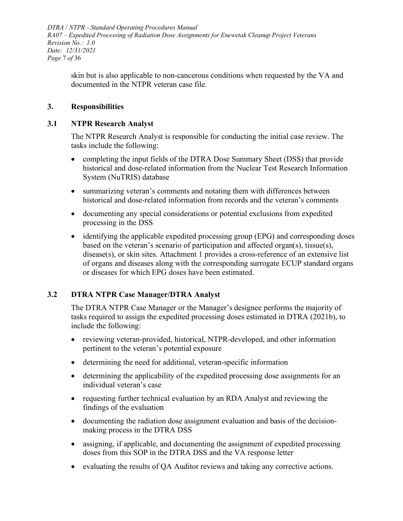*DTRA / NTPR - Standard Operating Procedures Manual RA07 – Expedited Processing of Radiation Dose Assignments for Enewetak Cleanup Project Veterans Revision No.: 1.0 Date: 12/31/2021 Page* 7 *of* 36

skin but is also applicable to non-cancerous conditions when requested by the VA and documented in the NTPR veteran case file.

#### <span id="page-6-0"></span>**3. Responsibilities**

#### <span id="page-6-1"></span>**3.1 NTPR Research Analyst**

The NTPR Research Analyst is responsible for conducting the initial case review. The tasks include the following:

- completing the input fields of the DTRA Dose Summary Sheet (DSS) that provide historical and dose-related information from the Nuclear Test Research Information System (NuTRIS) database
- summarizing veteran's comments and notating them with differences between historical and dose-related information from records and the veteran's comments
- documenting any special considerations or potential exclusions from expedited processing in the DSS
- identifying the applicable expedited processing group (EPG) and corresponding doses based on the veteran's scenario of participation and affected organ(s), tissue(s), disease(s), or skin sites. [Attachment 1](#page-18-0) provides a cross-reference of an extensive list of organs and diseases along with the corresponding surrogate ECUP standard organs or diseases for which EPG doses have been estimated.

#### <span id="page-6-2"></span>**3.2 DTRA NTPR Case Manager/DTRA Analyst**

The DTRA NTPR Case Manager or the Manager's designee performs the majority of tasks required to assign the expedited processing doses estimated in DTRA (2021b), to include the following:

- reviewing veteran-provided, historical, NTPR-developed, and other information pertinent to the veteran's potential exposure
- determining the need for additional, veteran-specific information
- determining the applicability of the expedited processing dose assignments for an individual veteran's case
- requesting further technical evaluation by an RDA Analyst and reviewing the findings of the evaluation
- documenting the radiation dose assignment evaluation and basis of the decisionmaking process in the DTRA DSS
- assigning, if applicable, and documenting the assignment of expedited processing doses from this SOP in the DTRA DSS and the VA response letter
- evaluating the results of QA Auditor reviews and taking any corrective actions.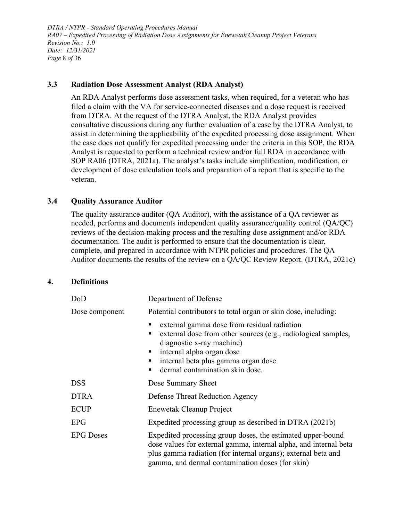*DTRA / NTPR - Standard Operating Procedures Manual RA07 – Expedited Processing of Radiation Dose Assignments for Enewetak Cleanup Project Veterans Revision No.: 1.0 Date: 12/31/2021 Page* 8 *of* 36

#### <span id="page-7-0"></span>**3.3 Radiation Dose Assessment Analyst (RDA Analyst)**

An RDA Analyst performs dose assessment tasks, when required, for a veteran who has filed a claim with the VA for service-connected diseases and a dose request is received from DTRA. At the request of the DTRA Analyst, the RDA Analyst provides consultative discussions during any further evaluation of a case by the DTRA Analyst, to assist in determining the applicability of the expedited processing dose assignment. When the case does not qualify for expedited processing under the criteria in this SOP, the RDA Analyst is requested to perform a technical review and/or full RDA in accordance with SOP RA06 (DTRA, 2021a). The analyst's tasks include simplification, modification, or development of dose calculation tools and preparation of a report that is specific to the veteran.

#### <span id="page-7-1"></span>**3.4 Quality Assurance Auditor**

The quality assurance auditor (QA Auditor), with the assistance of a QA reviewer as needed, performs and documents independent quality assurance/quality control (QA/QC) reviews of the decision-making process and the resulting dose assignment and/or RDA documentation. The audit is performed to ensure that the documentation is clear, complete, and prepared in accordance with NTPR policies and procedures. The QA Auditor documents the results of the review on a QA/QC Review Report. (DTRA, 2021c)

#### <span id="page-7-2"></span>**4. Definitions**

| DoD                                                                                                                                                                                                                                                                       | Department of Defense                                                                                                                                                                                                                              |  |  |
|---------------------------------------------------------------------------------------------------------------------------------------------------------------------------------------------------------------------------------------------------------------------------|----------------------------------------------------------------------------------------------------------------------------------------------------------------------------------------------------------------------------------------------------|--|--|
| Dose component                                                                                                                                                                                                                                                            | Potential contributors to total organ or skin dose, including:                                                                                                                                                                                     |  |  |
|                                                                                                                                                                                                                                                                           | external gamma dose from residual radiation<br>external dose from other sources (e.g., radiological samples,<br>diagnostic x-ray machine)<br>• internal alpha organ dose<br>internal beta plus gamma organ dose<br>dermal contamination skin dose. |  |  |
| <b>DSS</b>                                                                                                                                                                                                                                                                | Dose Summary Sheet                                                                                                                                                                                                                                 |  |  |
| <b>DTRA</b>                                                                                                                                                                                                                                                               | Defense Threat Reduction Agency                                                                                                                                                                                                                    |  |  |
| <b>ECUP</b>                                                                                                                                                                                                                                                               | Enewetak Cleanup Project                                                                                                                                                                                                                           |  |  |
| <b>EPG</b>                                                                                                                                                                                                                                                                | Expedited processing group as described in DTRA (2021b)                                                                                                                                                                                            |  |  |
| <b>EPG</b> Doses<br>Expedited processing group doses, the estimated upper-bound<br>dose values for external gamma, internal alpha, and internal beta<br>plus gamma radiation (for internal organs); external beta and<br>gamma, and dermal contamination doses (for skin) |                                                                                                                                                                                                                                                    |  |  |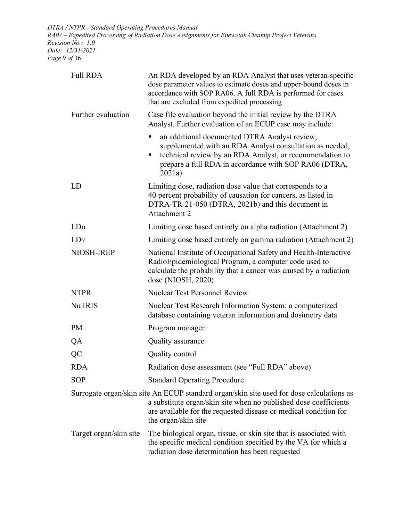*DTRA / NTPR - Standard Operating Procedures Manual RA07 – Expedited Processing of Radiation Dose Assignments for Enewetak Cleanup Project Veterans Revision No.: 1.0 Date: 12/31/2021 Page* 9 *of* 36

| <b>Full RDA</b>        | An RDA developed by an RDA Analyst that uses veteran-specific<br>dose parameter values to estimate doses and upper-bound doses in<br>accordance with SOP RA06. A full RDA is performed for cases<br>that are excluded from expedited processing         |  |
|------------------------|---------------------------------------------------------------------------------------------------------------------------------------------------------------------------------------------------------------------------------------------------------|--|
| Further evaluation     | Case file evaluation beyond the initial review by the DTRA<br>Analyst. Further evaluation of an ECUP case may include:                                                                                                                                  |  |
|                        | an additional documented DTRA Analyst review,<br>supplemented with an RDA Analyst consultation as needed,<br>technical review by an RDA Analyst, or recommendation to<br>prepare a full RDA in accordance with SOP RA06 (DTRA,<br>$2021a$ ).            |  |
| LD                     | Limiting dose, radiation dose value that corresponds to a<br>40 percent probability of causation for cancers, as listed in<br>DTRA-TR-21-050 (DTRA, 2021b) and this document in<br>Attachment 2                                                         |  |
| $LD\alpha$             | Limiting dose based entirely on alpha radiation (Attachment 2)                                                                                                                                                                                          |  |
| $LD\gamma$             | Limiting dose based entirely on gamma radiation (Attachment 2)                                                                                                                                                                                          |  |
| NIOSH-IREP             | National Institute of Occupational Safety and Health-Interactive<br>RadioEpidemiological Program, a computer code used to<br>calculate the probability that a cancer was caused by a radiation<br>dose (NIOSH, 2020)                                    |  |
| <b>NTPR</b>            | <b>Nuclear Test Personnel Review</b>                                                                                                                                                                                                                    |  |
| <b>NuTRIS</b>          | Nuclear Test Research Information System: a computerized<br>database containing veteran information and dosimetry data                                                                                                                                  |  |
| <b>PM</b>              | Program manager                                                                                                                                                                                                                                         |  |
| QA                     | Quality assurance                                                                                                                                                                                                                                       |  |
| QC                     | Quality control                                                                                                                                                                                                                                         |  |
| <b>RDA</b>             | Radiation dose assessment (see "Full RDA" above)                                                                                                                                                                                                        |  |
| <b>SOP</b>             | <b>Standard Operating Procedure</b>                                                                                                                                                                                                                     |  |
|                        | Surrogate organ/skin site An ECUP standard organ/skin site used for dose calculations as<br>a substitute organ/skin site when no published dose coefficients<br>are available for the requested disease or medical condition for<br>the organ/skin site |  |
| Target organ/skin site | The biological organ, tissue, or skin site that is associated with<br>the specific medical condition specified by the VA for which a<br>radiation dose determination has been requested                                                                 |  |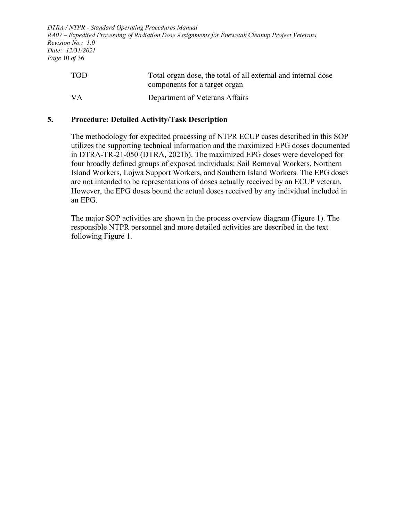*DTRA / NTPR - Standard Operating Procedures Manual RA07 – Expedited Processing of Radiation Dose Assignments for Enewetak Cleanup Project Veterans Revision No.: 1.0 Date: 12/31/2021 Page* 10 *of* 36

| <b>TOD</b> | Total organ dose, the total of all external and internal dose |
|------------|---------------------------------------------------------------|
|            | components for a target organ                                 |
| VA         | Department of Veterans Affairs                                |

#### <span id="page-9-0"></span>**5. Procedure: Detailed Activity/Task Description**

The methodology for expedited processing of NTPR ECUP cases described in this SOP utilizes the supporting technical information and the maximized EPG doses documented in DTRA-TR-21-050 (DTRA, 2021b). The maximized EPG doses were developed for four broadly defined groups of exposed individuals: Soil Removal Workers, Northern Island Workers, Lojwa Support Workers, and Southern Island Workers. The EPG doses are not intended to be representations of doses actually received by an ECUP veteran. However, the EPG doses bound the actual doses received by any individual included in an EPG.

The major SOP activities are shown in the process overview diagram [\(Figure 1\)](#page-10-0). The responsible NTPR personnel and more detailed activities are described in the text following [Figure 1.](#page-10-0)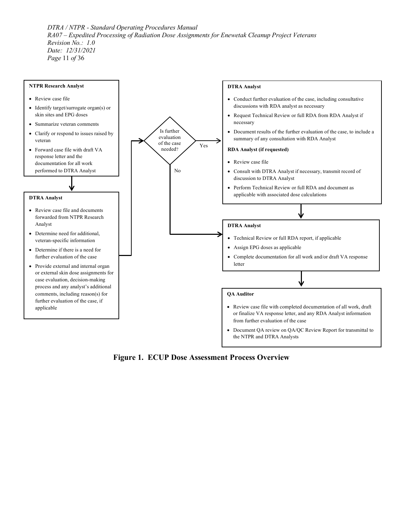*DTRA / NTPR - Standard Operating Procedures Manual RA07 – Expedited Processing of Radiation Dose Assignments for Enewetak Cleanup Project Veterans Revision No.: 1.0 Date: 12/31/2021 Page* 11 *of* 36



<span id="page-10-0"></span>**Figure 1. ECUP Dose Assessment Process Overview**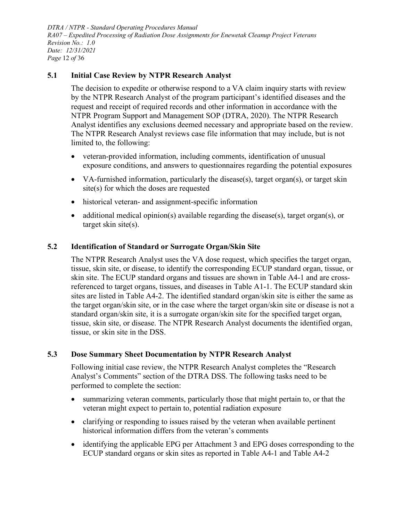*DTRA / NTPR - Standard Operating Procedures Manual RA07 – Expedited Processing of Radiation Dose Assignments for Enewetak Cleanup Project Veterans Revision No.: 1.0 Date: 12/31/2021 Page* 12 *of* 36

#### <span id="page-11-0"></span>**5.1 Initial Case Review by NTPR Research Analyst**

The decision to expedite or otherwise respond to a VA claim inquiry starts with review by the NTPR Research Analyst of the program participant's identified diseases and the request and receipt of required records and other information in accordance with the NTPR Program Support and Management SOP (DTRA, 2020). The NTPR Research Analyst identifies any exclusions deemed necessary and appropriate based on the review. The NTPR Research Analyst reviews case file information that may include, but is not limited to, the following:

- veteran-provided information, including comments, identification of unusual exposure conditions, and answers to questionnaires regarding the potential exposures
- VA-furnished information, particularly the disease(s), target organ(s), or target skin site(s) for which the doses are requested
- historical veteran- and assignment-specific information
- additional medical opinion(s) available regarding the disease(s), target organ(s), or target skin site(s).

#### <span id="page-11-1"></span>**5.2 Identification of Standard or Surrogate Organ/Skin Site**

The NTPR Research Analyst uses the VA dose request, which specifies the target organ, tissue, skin site, or disease, to identify the corresponding ECUP standard organ, tissue, or skin site. The ECUP standard organs and tissues are shown in [Table](#page-34-0) A4-1 and are crossreferenced to target organs, tissues, and diseases in [Table](#page-18-1) A1-1. The ECUP standard skin sites are listed in [Table](#page-35-0) A4-2. The identified standard organ/skin site is either the same as the target organ/skin site, or in the case where the target organ/skin site or disease is not a standard organ/skin site, it is a surrogate organ/skin site for the specified target organ, tissue, skin site, or disease. The NTPR Research Analyst documents the identified organ, tissue, or skin site in the DSS.

#### <span id="page-11-2"></span>**5.3 Dose Summary Sheet Documentation by NTPR Research Analyst**

Following initial case review, the NTPR Research Analyst completes the "Research Analyst's Comments" section of the DTRA DSS. The following tasks need to be performed to complete the section:

- summarizing veteran comments, particularly those that might pertain to, or that the veteran might expect to pertain to, potential radiation exposure
- clarifying or responding to issues raised by the veteran when available pertinent historical information differs from the veteran's comments
- identifying the applicable EPG per [Attachment 3](#page-28-0) and EPG doses corresponding to the ECUP standard organs or skin sites as reported in [Table](#page-34-0) A4-1 and [Table](#page-35-0) A4-2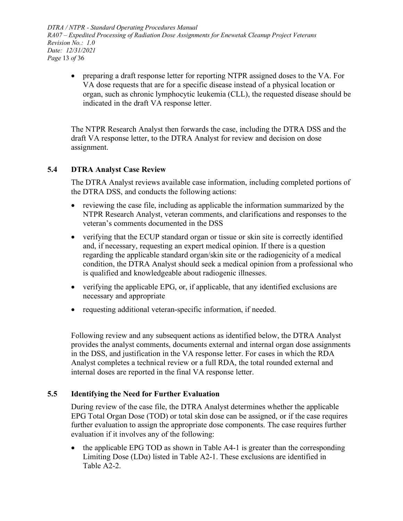*DTRA / NTPR - Standard Operating Procedures Manual RA07 – Expedited Processing of Radiation Dose Assignments for Enewetak Cleanup Project Veterans Revision No.: 1.0 Date: 12/31/2021 Page* 13 *of* 36

• preparing a draft response letter for reporting NTPR assigned doses to the VA. For VA dose requests that are for a specific disease instead of a physical location or organ, such as chronic lymphocytic leukemia (CLL), the requested disease should be indicated in the draft VA response letter.

The NTPR Research Analyst then forwards the case, including the DTRA DSS and the draft VA response letter, to the DTRA Analyst for review and decision on dose assignment.

#### <span id="page-12-0"></span>**5.4 DTRA Analyst Case Review**

The DTRA Analyst reviews available case information, including completed portions of the DTRA DSS, and conducts the following actions:

- reviewing the case file, including as applicable the information summarized by the NTPR Research Analyst, veteran comments, and clarifications and responses to the veteran's comments documented in the DSS
- verifying that the ECUP standard organ or tissue or skin site is correctly identified and, if necessary, requesting an expert medical opinion. If there is a question regarding the applicable standard organ/skin site or the radiogenicity of a medical condition, the DTRA Analyst should seek a medical opinion from a professional who is qualified and knowledgeable about radiogenic illnesses.
- verifying the applicable EPG, or, if applicable, that any identified exclusions are necessary and appropriate
- requesting additional veteran-specific information, if needed.

Following review and any subsequent actions as identified below, the DTRA Analyst provides the analyst comments, documents external and internal organ dose assignments in the DSS, and justification in the VA response letter. For cases in which the RDA Analyst completes a technical review or a full RDA, the total rounded external and internal doses are reported in the final VA response letter.

#### <span id="page-12-1"></span>**5.5 Identifying the Need for Further Evaluation**

During review of the case file, the DTRA Analyst determines whether the applicable EPG Total Organ Dose (TOD) or total skin dose can be assigned, or if the case requires further evaluation to assign the appropriate dose components. The case requires further evaluation if it involves any of the following:

• the applicable EPG TOD as shown in [Table](#page-34-0) A4-1 is greater than the corresponding Limiting Dose  $(LD\alpha)$  listed in [Table](#page-24-0) A2-1. These exclusions are identified in [Table](#page-25-0) A2-2.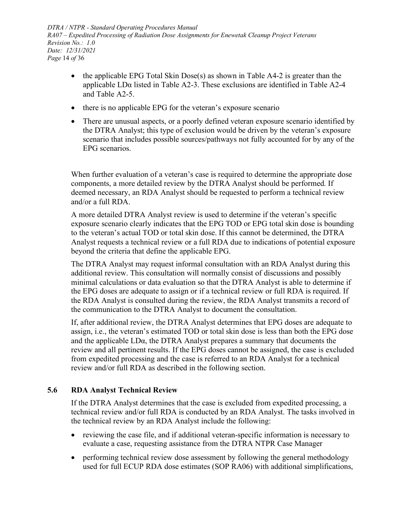*DTRA / NTPR - Standard Operating Procedures Manual RA07 – Expedited Processing of Radiation Dose Assignments for Enewetak Cleanup Project Veterans Revision No.: 1.0 Date: 12/31/2021 Page* 14 *of* 36

- the applicable EPG Total Skin Dose(s) as shown in [Table](#page-35-0) A4-2 is greater than the applicable LDα listed in [Table](#page-25-1) A2-3. These exclusions are identified in [Table](#page-26-0) A2-4 and [Table](#page-27-0) A2-5.
- there is no applicable EPG for the veteran's exposure scenario
- There are unusual aspects, or a poorly defined veteran exposure scenario identified by the DTRA Analyst; this type of exclusion would be driven by the veteran's exposure scenario that includes possible sources/pathways not fully accounted for by any of the EPG scenarios.

When further evaluation of a veteran's case is required to determine the appropriate dose components, a more detailed review by the DTRA Analyst should be performed. If deemed necessary, an RDA Analyst should be requested to perform a technical review and/or a full RDA.

A more detailed DTRA Analyst review is used to determine if the veteran's specific exposure scenario clearly indicates that the EPG TOD or EPG total skin dose is bounding to the veteran's actual TOD or total skin dose. If this cannot be determined, the DTRA Analyst requests a technical review or a full RDA due to indications of potential exposure beyond the criteria that define the applicable EPG.

The DTRA Analyst may request informal consultation with an RDA Analyst during this additional review. This consultation will normally consist of discussions and possibly minimal calculations or data evaluation so that the DTRA Analyst is able to determine if the EPG doses are adequate to assign or if a technical review or full RDA is required. If the RDA Analyst is consulted during the review, the RDA Analyst transmits a record of the communication to the DTRA Analyst to document the consultation.

If, after additional review, the DTRA Analyst determines that EPG doses are adequate to assign, i.e., the veteran's estimated TOD or total skin dose is less than both the EPG dose and the applicable LDα, the DTRA Analyst prepares a summary that documents the review and all pertinent results. If the EPG doses cannot be assigned, the case is excluded from expedited processing and the case is referred to an RDA Analyst for a technical review and/or full RDA as described in the following section.

### <span id="page-13-0"></span>**5.6 RDA Analyst Technical Review**

If the DTRA Analyst determines that the case is excluded from expedited processing, a technical review and/or full RDA is conducted by an RDA Analyst. The tasks involved in the technical review by an RDA Analyst include the following:

- reviewing the case file, and if additional veteran-specific information is necessary to evaluate a case, requesting assistance from the DTRA NTPR Case Manager
- performing technical review dose assessment by following the general methodology used for full ECUP RDA dose estimates (SOP RA06) with additional simplifications,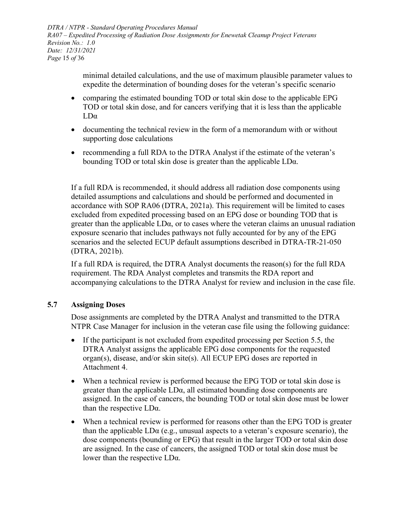*DTRA / NTPR - Standard Operating Procedures Manual RA07 – Expedited Processing of Radiation Dose Assignments for Enewetak Cleanup Project Veterans Revision No.: 1.0 Date: 12/31/2021 Page* 15 *of* 36

> minimal detailed calculations, and the use of maximum plausible parameter values to expedite the determination of bounding doses for the veteran's specific scenario

- comparing the estimated bounding TOD or total skin dose to the applicable EPG TOD or total skin dose, and for cancers verifying that it is less than the applicable LDα
- documenting the technical review in the form of a memorandum with or without supporting dose calculations
- recommending a full RDA to the DTRA Analyst if the estimate of the veteran's bounding TOD or total skin dose is greater than the applicable LDα.

If a full RDA is recommended, it should address all radiation dose components using detailed assumptions and calculations and should be performed and documented in accordance with SOP RA06 (DTRA, 2021a). This requirement will be limited to cases excluded from expedited processing based on an EPG dose or bounding TOD that is greater than the applicable LDα, or to cases where the veteran claims an unusual radiation exposure scenario that includes pathways not fully accounted for by any of the EPG scenarios and the selected ECUP default assumptions described in DTRA-TR-21-050 (DTRA, 2021b).

If a full RDA is required, the DTRA Analyst documents the reason(s) for the full RDA requirement. The RDA Analyst completes and transmits the RDA report and accompanying calculations to the DTRA Analyst for review and inclusion in the case file.

#### <span id="page-14-0"></span>**5.7 Assigning Doses**

Dose assignments are completed by the DTRA Analyst and transmitted to the DTRA NTPR Case Manager for inclusion in the veteran case file using the following guidance:

- If the participant is not excluded from expedited processing per Section 5.5, the DTRA Analyst assigns the applicable EPG dose components for the requested organ(s), disease, and/or skin site(s). All ECUP EPG doses are reported in [Attachment 4.](#page-33-0)
- When a technical review is performed because the EPG TOD or total skin dose is greater than the applicable LDα, all estimated bounding dose components are assigned. In the case of cancers, the bounding TOD or total skin dose must be lower than the respective  $LD\alpha$ .
- When a technical review is performed for reasons other than the EPG TOD is greater than the applicable  $LD\alpha$  (e.g., unusual aspects to a veteran's exposure scenario), the dose components (bounding or EPG) that result in the larger TOD or total skin dose are assigned. In the case of cancers, the assigned TOD or total skin dose must be lower than the respective LDα.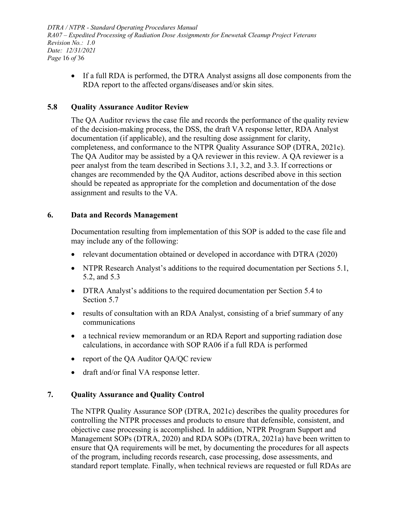*DTRA / NTPR - Standard Operating Procedures Manual RA07 – Expedited Processing of Radiation Dose Assignments for Enewetak Cleanup Project Veterans Revision No.: 1.0 Date: 12/31/2021 Page* 16 *of* 36

• If a full RDA is performed, the DTRA Analyst assigns all dose components from the RDA report to the affected organs/diseases and/or skin sites.

#### <span id="page-15-0"></span>**5.8 Quality Assurance Auditor Review**

The QA Auditor reviews the case file and records the performance of the quality review of the decision-making process, the DSS, the draft VA response letter, RDA Analyst documentation (if applicable), and the resulting dose assignment for clarity, completeness, and conformance to the NTPR Quality Assurance SOP (DTRA, 2021c). The QA Auditor may be assisted by a QA reviewer in this review. A QA reviewer is a peer analyst from the team described in Sections [3.1,](#page-6-1) [3.2,](#page-6-2) and [3.3.](#page-7-0) If corrections or changes are recommended by the QA Auditor, actions described above in this section should be repeated as appropriate for the completion and documentation of the dose assignment and results to the VA.

#### <span id="page-15-1"></span>**6. Data and Records Management**

Documentation resulting from implementation of this SOP is added to the case file and may include any of the following:

- relevant documentation obtained or developed in accordance with DTRA (2020)
- NTPR Research Analyst's additions to the required documentation per Sections [5.1,](#page-11-0) [5.2,](#page-11-1) and [5.3](#page-11-2)
- DTRA Analyst's additions to the required documentation per Section [5.4](#page-12-0) to Section [5.7](#page-14-0)
- results of consultation with an RDA Analyst, consisting of a brief summary of any communications
- a technical review memorandum or an RDA Report and supporting radiation dose calculations, in accordance with SOP RA06 if a full RDA is performed
- report of the QA Auditor QA/QC review
- draft and/or final VA response letter.

#### <span id="page-15-2"></span>**7. Quality Assurance and Quality Control**

The NTPR Quality Assurance SOP (DTRA, 2021c) describes the quality procedures for controlling the NTPR processes and products to ensure that defensible, consistent, and objective case processing is accomplished. In addition, NTPR Program Support and Management SOPs (DTRA, 2020) and RDA SOPs (DTRA, 2021a) have been written to ensure that QA requirements will be met, by documenting the procedures for all aspects of the program, including records research, case processing, dose assessments, and standard report template. Finally, when technical reviews are requested or full RDAs are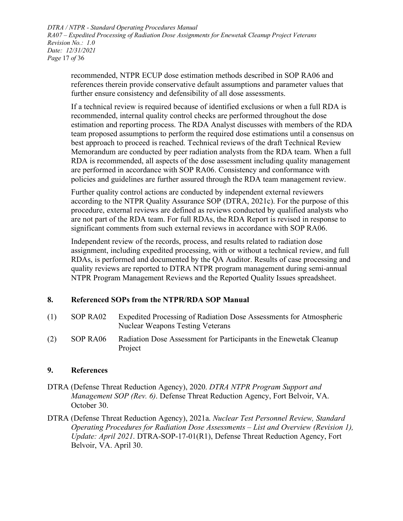*DTRA / NTPR - Standard Operating Procedures Manual RA07 – Expedited Processing of Radiation Dose Assignments for Enewetak Cleanup Project Veterans Revision No.: 1.0 Date: 12/31/2021 Page* 17 *of* 36

recommended, NTPR ECUP dose estimation methods described in SOP RA06 and references therein provide conservative default assumptions and parameter values that further ensure consistency and defensibility of all dose assessments.

If a technical review is required because of identified exclusions or when a full RDA is recommended, internal quality control checks are performed throughout the dose estimation and reporting process. The RDA Analyst discusses with members of the RDA team proposed assumptions to perform the required dose estimations until a consensus on best approach to proceed is reached. Technical reviews of the draft Technical Review Memorandum are conducted by peer radiation analysts from the RDA team. When a full RDA is recommended, all aspects of the dose assessment including quality management are performed in accordance with SOP RA06. Consistency and conformance with policies and guidelines are further assured through the RDA team management review.

Further quality control actions are conducted by independent external reviewers according to the NTPR Quality Assurance SOP (DTRA, 2021c). For the purpose of this procedure, external reviews are defined as reviews conducted by qualified analysts who are not part of the RDA team. For full RDAs, the RDA Report is revised in response to significant comments from such external reviews in accordance with SOP RA06.

Independent review of the records, process, and results related to radiation dose assignment, including expedited processing, with or without a technical review, and full RDAs, is performed and documented by the QA Auditor. Results of case processing and quality reviews are reported to DTRA NTPR program management during semi-annual NTPR Program Management Reviews and the Reported Quality Issues spreadsheet.

#### <span id="page-16-0"></span>**8. Referenced SOPs from the NTPR/RDA SOP Manual**

(1) SOP RA02 Expedited Processing of Radiation Dose Assessments for Atmospheric Nuclear Weapons Testing Veterans (2) SOP RA06 Radiation Dose Assessment for Participants in the Enewetak Cleanup Project

#### <span id="page-16-1"></span>**9. References**

- DTRA (Defense Threat Reduction Agency), 2020. *DTRA NTPR Program Support and Management SOP (Rev. 6)*. Defense Threat Reduction Agency, Fort Belvoir, VA. October 30.
- DTRA (Defense Threat Reduction Agency), 2021a. *Nuclear Test Personnel Review, Standard Operating Procedures for Radiation Dose Assessments – List and Overview (Revision 1), Update: April 2021*. DTRA-SOP-17-01(R1), Defense Threat Reduction Agency, Fort Belvoir, VA. April 30.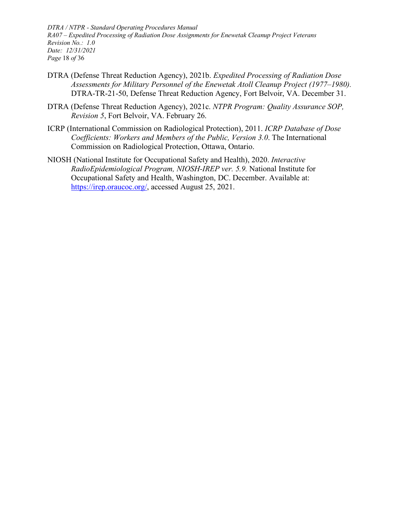*DTRA / NTPR - Standard Operating Procedures Manual RA07 – Expedited Processing of Radiation Dose Assignments for Enewetak Cleanup Project Veterans Revision No.: 1.0 Date: 12/31/2021 Page* 18 *of* 36

- DTRA (Defense Threat Reduction Agency), 2021b. *Expedited Processing of Radiation Dose Assessments for Military Personnel of the Enewetak Atoll Cleanup Project (1977–1980).* DTRA-TR-21-50, Defense Threat Reduction Agency, Fort Belvoir, VA. December 31.
- DTRA (Defense Threat Reduction Agency), 2021c. *NTPR Program: Quality Assurance SOP, Revision 5*, Fort Belvoir, VA. February 26.
- ICRP (International Commission on Radiological Protection), 2011. *ICRP Database of Dose Coefficients: Workers and Members of the Public, Version 3.0*. The International Commission on Radiological Protection, Ottawa, Ontario.
- NIOSH (National Institute for Occupational Safety and Health), 2020. *Interactive RadioEpidemiological Program, NIOSH-IREP ver. 5.9.* National Institute for Occupational Safety and Health, Washington, DC. December. Available at: [https://irep.oraucoc.org/,](https://irep.oraucoc.org/) accessed August 25, 2021.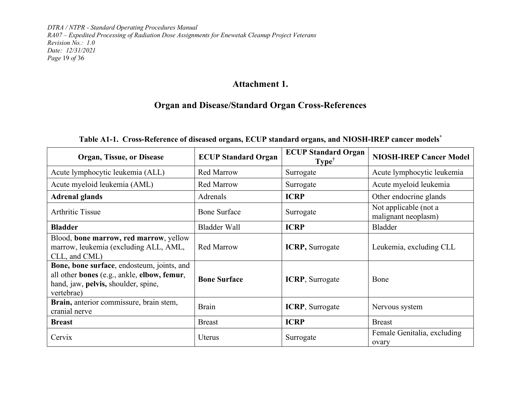*DTRA / NTPR - Standard Operating Procedures Manual RA07 – Expedited Processing of Radiation Dose Assignments for Enewetak Cleanup Project Veterans Revision No.: 1.0 Date: 12/31/2021 Page* 19 *of* 36

## **Attachment 1.**

# **Organ and Disease/Standard Organ Cross-References**

## **Table A1-1. Cross-Reference of diseased organs, ECUP standard organs, and NIOSH-IREP cancer models\***

<span id="page-18-1"></span><span id="page-18-0"></span>

| <b>Organ, Tissue, or Disease</b>                                                                                                               | <b>ECUP Standard Organ</b> | <b>ECUP Standard Organ</b><br>Type <sup>†</sup> | <b>NIOSH-IREP Cancer Model</b>               |
|------------------------------------------------------------------------------------------------------------------------------------------------|----------------------------|-------------------------------------------------|----------------------------------------------|
| Acute lymphocytic leukemia (ALL)                                                                                                               | <b>Red Marrow</b>          | Surrogate                                       | Acute lymphocytic leukemia                   |
| Acute myeloid leukemia (AML)                                                                                                                   | <b>Red Marrow</b>          | Surrogate                                       | Acute myeloid leukemia                       |
| <b>Adrenal glands</b>                                                                                                                          | Adrenals                   | <b>ICRP</b>                                     | Other endocrine glands                       |
| <b>Arthritic Tissue</b>                                                                                                                        | <b>Bone Surface</b>        | Surrogate                                       | Not applicable (not a<br>malignant neoplasm) |
| <b>Bladder</b>                                                                                                                                 | <b>Bladder Wall</b>        | <b>ICRP</b>                                     | Bladder                                      |
| Blood, bone marrow, red marrow, yellow<br>marrow, leukemia (excluding ALL, AML,<br>CLL, and CML)                                               | <b>Red Marrow</b>          | <b>ICRP</b> , Surrogate                         | Leukemia, excluding CLL                      |
| Bone, bone surface, endosteum, joints, and<br>all other bones (e.g., ankle, elbow, femur,<br>hand, jaw, pelvis, shoulder, spine,<br>vertebrae) | <b>Bone Surface</b>        | <b>ICRP</b> , Surrogate                         | Bone                                         |
| Brain, anterior commissure, brain stem,<br>cranial nerve                                                                                       | <b>Brain</b>               | <b>ICRP</b> , Surrogate                         | Nervous system                               |
| <b>Breast</b>                                                                                                                                  | <b>Breast</b>              | <b>ICRP</b>                                     | <b>Breast</b>                                |
| Cervix                                                                                                                                         | Uterus                     | Surrogate                                       | Female Genitalia, excluding<br>ovary         |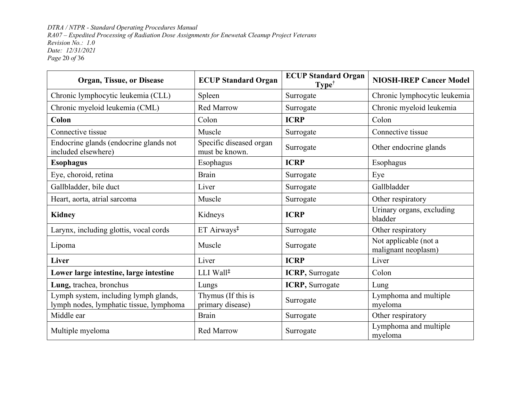*DTRA / NTPR - Standard Operating Procedures Manual RA07 – Expedited Processing of Radiation Dose Assignments for Enewetak Cleanup Project Veterans Revision No.: 1.0 Date: 12/31/2021 Page* 20 *of* 36

| <b>Organ, Tissue, or Disease</b>                                                 | <b>ECUP Standard Organ</b>                | <b>ECUP Standard Organ</b><br>$Type^{\dagger}$ | <b>NIOSH-IREP Cancer Model</b>               |
|----------------------------------------------------------------------------------|-------------------------------------------|------------------------------------------------|----------------------------------------------|
| Chronic lymphocytic leukemia (CLL)                                               | Spleen                                    | Surrogate                                      | Chronic lymphocytic leukemia                 |
| Chronic myeloid leukemia (CML)                                                   | <b>Red Marrow</b>                         | Surrogate                                      | Chronic myeloid leukemia                     |
| Colon                                                                            | Colon                                     | <b>ICRP</b>                                    | Colon                                        |
| Connective tissue                                                                | Muscle                                    | Surrogate                                      | Connective tissue                            |
| Endocrine glands (endocrine glands not<br>included elsewhere)                    | Specific diseased organ<br>must be known. | Surrogate                                      | Other endocrine glands                       |
| <b>Esophagus</b>                                                                 | Esophagus                                 | <b>ICRP</b>                                    | Esophagus                                    |
| Eye, choroid, retina                                                             | <b>Brain</b>                              | Surrogate                                      | Eye                                          |
| Gallbladder, bile duct                                                           | Liver                                     | Surrogate                                      | Gallbladder                                  |
| Heart, aorta, atrial sarcoma                                                     | Muscle                                    | Surrogate                                      | Other respiratory                            |
| <b>Kidney</b>                                                                    | Kidneys                                   | <b>ICRP</b>                                    | Urinary organs, excluding<br>bladder         |
| Larynx, including glottis, vocal cords                                           | ET Airways <sup>‡</sup>                   | Surrogate                                      | Other respiratory                            |
| Lipoma                                                                           | Muscle                                    | Surrogate                                      | Not applicable (not a<br>malignant neoplasm) |
| Liver                                                                            | Liver                                     | <b>ICRP</b>                                    | Liver                                        |
| Lower large intestine, large intestine                                           | LLI Wall <sup>‡</sup>                     | <b>ICRP</b> , Surrogate                        | Colon                                        |
| Lung, trachea, bronchus                                                          | Lungs                                     | <b>ICRP</b> , Surrogate                        | Lung                                         |
| Lymph system, including lymph glands,<br>lymph nodes, lymphatic tissue, lymphoma | Thymus (If this is<br>primary disease)    | Surrogate                                      | Lymphoma and multiple<br>myeloma             |
| Middle ear                                                                       | <b>Brain</b>                              | Surrogate                                      | Other respiratory                            |
| Multiple myeloma                                                                 | <b>Red Marrow</b>                         | Surrogate                                      | Lymphoma and multiple<br>myeloma             |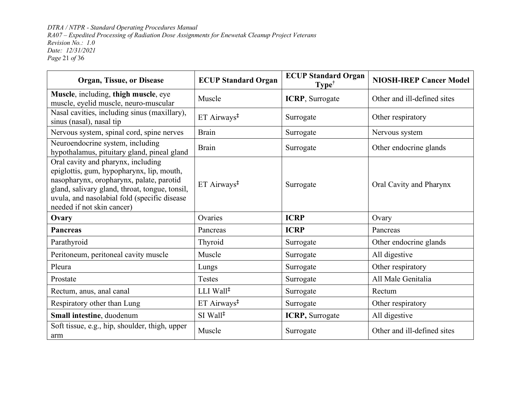*DTRA / NTPR - Standard Operating Procedures Manual RA07 – Expedited Processing of Radiation Dose Assignments for Enewetak Cleanup Project Veterans Revision No.: 1.0 Date: 12/31/2021 Page* 21 *of* 36

| Organ, Tissue, or Disease                                                                                                                                                                                                                                   | <b>ECUP Standard Organ</b>                 | <b>ECUP Standard Organ</b><br>$Type^{\dagger}$ | <b>NIOSH-IREP Cancer Model</b> |
|-------------------------------------------------------------------------------------------------------------------------------------------------------------------------------------------------------------------------------------------------------------|--------------------------------------------|------------------------------------------------|--------------------------------|
| Muscle, including, thigh muscle, eye<br>muscle, eyelid muscle, neuro-muscular                                                                                                                                                                               | Muscle                                     | <b>ICRP</b> , Surrogate                        | Other and ill-defined sites    |
| Nasal cavities, including sinus (maxillary),<br>sinus (nasal), nasal tip                                                                                                                                                                                    | ET Airways <sup>‡</sup>                    | Surrogate                                      | Other respiratory              |
| Nervous system, spinal cord, spine nerves                                                                                                                                                                                                                   | <b>Brain</b>                               | Surrogate                                      | Nervous system                 |
| Neuroendocrine system, including<br>hypothalamus, pituitary gland, pineal gland                                                                                                                                                                             | <b>Brain</b>                               | Surrogate                                      | Other endocrine glands         |
| Oral cavity and pharynx, including<br>epiglottis, gum, hypopharynx, lip, mouth,<br>nasopharynx, oropharynx, palate, parotid<br>gland, salivary gland, throat, tongue, tonsil,<br>uvula, and nasolabial fold (specific disease<br>needed if not skin cancer) | ET Airways <sup>‡</sup>                    | Surrogate                                      | Oral Cavity and Pharynx        |
| Ovary                                                                                                                                                                                                                                                       | Ovaries                                    | <b>ICRP</b>                                    | Ovary                          |
| <b>Pancreas</b>                                                                                                                                                                                                                                             | Pancreas                                   | <b>ICRP</b>                                    | Pancreas                       |
| Parathyroid                                                                                                                                                                                                                                                 | Thyroid                                    | Surrogate                                      | Other endocrine glands         |
| Peritoneum, peritoneal cavity muscle                                                                                                                                                                                                                        | Muscle                                     | Surrogate                                      | All digestive                  |
| Pleura                                                                                                                                                                                                                                                      | Lungs                                      | Surrogate                                      | Other respiratory              |
| Prostate                                                                                                                                                                                                                                                    | Testes                                     | Surrogate                                      | All Male Genitalia             |
| Rectum, anus, anal canal                                                                                                                                                                                                                                    | LLI Wall <sup>‡</sup>                      | Surrogate                                      | Rectum                         |
| Respiratory other than Lung                                                                                                                                                                                                                                 | $ET$ Airways <sup><math>‡</math></sup>     | Surrogate                                      | Other respiratory              |
| Small intestine, duodenum                                                                                                                                                                                                                                   | $SI$ Wall <sup><math>\ddagger</math></sup> | ICRP, Surrogate                                | All digestive                  |
| Soft tissue, e.g., hip, shoulder, thigh, upper<br>arm                                                                                                                                                                                                       | Muscle                                     | Surrogate                                      | Other and ill-defined sites    |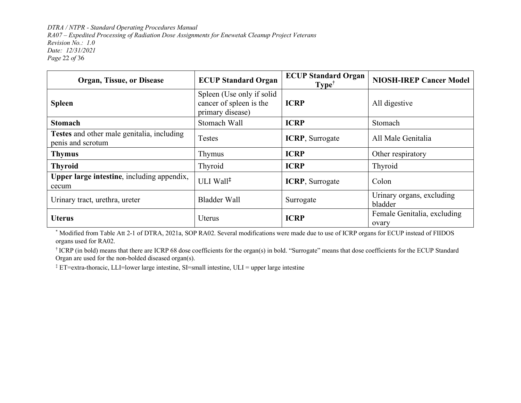*DTRA / NTPR - Standard Operating Procedures Manual RA07 – Expedited Processing of Radiation Dose Assignments for Enewetak Cleanup Project Veterans Revision No.: 1.0 Date: 12/31/2021 Page* 22 *of* 36

| <b>Organ, Tissue, or Disease</b>                                | <b>ECUP Standard Organ</b>                                               | <b>ECUP Standard Organ</b><br>$Type^{\dagger}$ | <b>NIOSH-IREP Cancer Model</b>       |
|-----------------------------------------------------------------|--------------------------------------------------------------------------|------------------------------------------------|--------------------------------------|
| <b>Spleen</b>                                                   | Spleen (Use only if solid<br>cancer of spleen is the<br>primary disease) | <b>ICRP</b>                                    | All digestive                        |
| <b>Stomach</b>                                                  | Stomach Wall                                                             | <b>ICRP</b>                                    | Stomach                              |
| Testes and other male genitalia, including<br>penis and scrotum | <b>Testes</b>                                                            | <b>ICRP</b> , Surrogate                        | All Male Genitalia                   |
| <b>Thymus</b>                                                   | Thymus                                                                   | <b>ICRP</b>                                    | Other respiratory                    |
| <b>Thyroid</b>                                                  | Thyroid                                                                  | <b>ICRP</b>                                    | Thyroid                              |
| Upper large intestine, including appendix,<br>cecum             | ULI Wall <sup>‡</sup>                                                    | <b>ICRP</b> , Surrogate                        | Colon                                |
| Urinary tract, urethra, ureter                                  | Bladder Wall                                                             | Surrogate                                      | Urinary organs, excluding<br>bladder |
| <b>Uterus</b>                                                   | <b>Uterus</b>                                                            | <b>ICRP</b>                                    | Female Genitalia, excluding<br>ovary |

\* Modified from Table Att 2-1 of DTRA, 2021a, SOP RA02. Several modifications were made due to use of ICRP organs for ECUP instead of FIIDOS organs used for RA02.

† ICRP (in bold) means that there are ICRP 68 dose coefficients for the organ(s) in bold. "Surrogate" means that dose coefficients for the ECUP Standard Organ are used for the non-bolded diseased organ(s).

‡ ET=extra-thoracic, LLI=lower large intestine, SI=small intestine, ULI = upper large intestine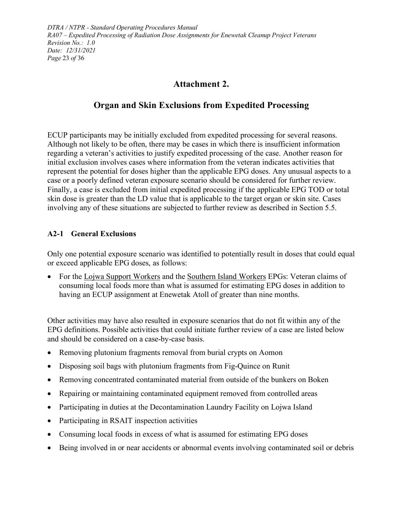## **Attachment 2.**

## **Organ and Skin Exclusions from Expedited Processing**

<span id="page-22-0"></span>ECUP participants may be initially excluded from expedited processing for several reasons. Although not likely to be often, there may be cases in which there is insufficient information regarding a veteran's activities to justify expedited processing of the case. Another reason for initial exclusion involves cases where information from the veteran indicates activities that represent the potential for doses higher than the applicable EPG doses. Any unusual aspects to a case or a poorly defined veteran exposure scenario should be considered for further review. Finally, a case is excluded from initial expedited processing if the applicable EPG TOD or total skin dose is greater than the LD value that is applicable to the target organ or skin site. Cases involving any of these situations are subjected to further review as described in Section [5.5.](#page-12-1)

#### <span id="page-22-1"></span>**A2-1 General Exclusions**

Only one potential exposure scenario was identified to potentially result in doses that could equal or exceed applicable EPG doses, as follows:

• For the Lojwa Support Workers and the Southern Island Workers EPGs: Veteran claims of consuming local foods more than what is assumed for estimating EPG doses in addition to having an ECUP assignment at Enewetak Atoll of greater than nine months.

Other activities may have also resulted in exposure scenarios that do not fit within any of the EPG definitions. Possible activities that could initiate further review of a case are listed below and should be considered on a case-by-case basis.

- Removing plutonium fragments removal from burial crypts on Aomon
- Disposing soil bags with plutonium fragments from Fig-Quince on Runit
- Removing concentrated contaminated material from outside of the bunkers on Boken
- Repairing or maintaining contaminated equipment removed from controlled areas
- Participating in duties at the Decontamination Laundry Facility on Lojwa Island
- Participating in RSAIT inspection activities
- Consuming local foods in excess of what is assumed for estimating EPG doses
- Being involved in or near accidents or abnormal events involving contaminated soil or debris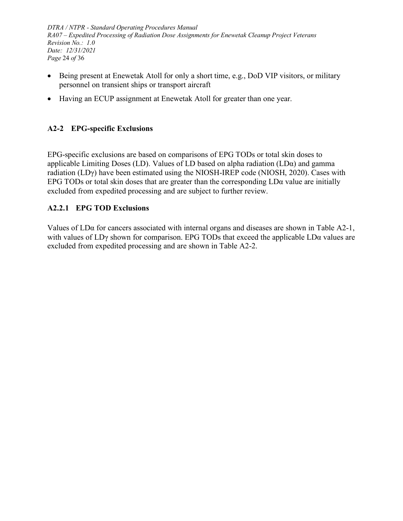*DTRA / NTPR - Standard Operating Procedures Manual RA07 – Expedited Processing of Radiation Dose Assignments for Enewetak Cleanup Project Veterans Revision No.: 1.0 Date: 12/31/2021 Page* 24 *of* 36

- Being present at Enewetak Atoll for only a short time, e.g., DoD VIP visitors, or military personnel on transient ships or transport aircraft
- Having an ECUP assignment at Enewetak Atoll for greater than one year.

### <span id="page-23-0"></span>**A2-2 EPG-specific Exclusions**

EPG-specific exclusions are based on comparisons of EPG TODs or total skin doses to applicable Limiting Doses (LD). Values of LD based on alpha radiation ( $LDa$ ) and gamma radiation (LDγ) have been estimated using the NIOSH-IREP code (NIOSH, 2020). Cases with EPG TODs or total skin doses that are greater than the corresponding LDα value are initially excluded from expedited processing and are subject to further review.

#### <span id="page-23-1"></span>**A2.2.1 EPG TOD Exclusions**

Values of LDα for cancers associated with internal organs and diseases are shown in [Table](#page-24-0) A2-1, with values of  $LD\gamma$  shown for comparison. EPG TODs that exceed the applicable  $LD\alpha$  values are excluded from expedited processing and are shown in [Table](#page-25-0) A2-2.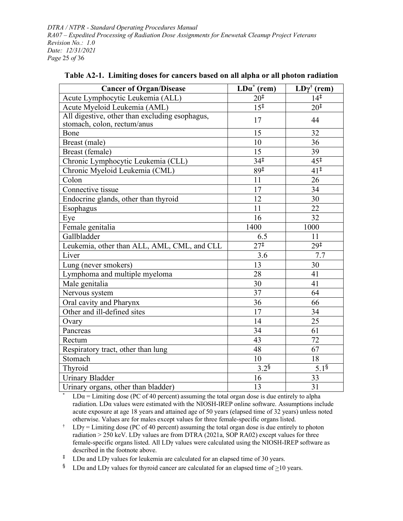*DTRA / NTPR - Standard Operating Procedures Manual RA07 – Expedited Processing of Radiation Dose Assignments for Enewetak Cleanup Project Veterans Revision No.: 1.0 Date: 12/31/2021 Page* 25 *of* 36

| <b>Cancer of Organ/Disease</b>                                                | $\overline{\text{LDa}^*(\text{rem})}$ | $LD\gamma^{\dagger}$ (rem) |
|-------------------------------------------------------------------------------|---------------------------------------|----------------------------|
| Acute Lymphocytic Leukemia (ALL)                                              | $20^{1}$                              | $14^{\ddagger}$            |
| Acute Myeloid Leukemia (AML)                                                  | $15^{\ddagger}$                       | 20 <sup>‡</sup>            |
| All digestive, other than excluding esophagus,<br>stomach, colon, rectum/anus | 17                                    | 44                         |
| Bone                                                                          | 15                                    | 32                         |
| Breast (male)                                                                 | 10                                    | 36                         |
| Breast (female)                                                               | 15                                    | 39                         |
| Chronic Lymphocytic Leukemia (CLL)                                            | $34^{\frac{1}{4}}$                    | $45^{\ddagger}$            |
| Chronic Myeloid Leukemia (CML)                                                | $89^{\frac{1}{4}}$                    | $41^{\ddagger}$            |
| Colon                                                                         | 11                                    | 26                         |
| Connective tissue                                                             | 17                                    | 34                         |
| Endocrine glands, other than thyroid                                          | 12                                    | 30                         |
| Esophagus                                                                     | 11                                    | 22                         |
| Eye                                                                           | 16                                    | 32                         |
| Female genitalia                                                              | 1400                                  | 1000                       |
| Gallbladder                                                                   | 6.5                                   | 11                         |
| Leukemia, other than ALL, AML, CML, and CLL                                   | $27^{\frac{1}{4}}$                    | $29^{\ddagger}$            |
| Liver                                                                         | 3.6                                   | 7.7                        |
| Lung (never smokers)                                                          | 13                                    | 30                         |
| Lymphoma and multiple myeloma                                                 | 28                                    | 41                         |
| Male genitalia                                                                | 30                                    | 41                         |
| Nervous system                                                                | 37                                    | 64                         |
| Oral cavity and Pharynx                                                       | 36                                    | 66                         |
| Other and ill-defined sites                                                   | 17                                    | 34                         |
| Ovary                                                                         | 14                                    | 25                         |
| Pancreas                                                                      | 34                                    | 61                         |
| Rectum                                                                        | 43                                    | 72                         |
| Respiratory tract, other than lung                                            | 48                                    | 67                         |
| Stomach                                                                       | 10                                    | 18                         |
| Thyroid                                                                       | $3.2^{\$}$                            | 5.1 <sup>§</sup>           |
| <b>Urinary Bladder</b>                                                        | 16                                    | 33                         |
| Urinary organs, other than bladder)                                           | 13                                    | 31                         |

<span id="page-24-0"></span>**Table A2-1. Limiting doses for cancers based on all alpha or all photon radiation**

 $LD\alpha =$  Limiting dose (PC of 40 percent) assuming the total organ dose is due entirely to alpha radiation. LDα values were estimated with the NIOSH-IREP online software. Assumptions include acute exposure at age 18 years and attained age of 50 years (elapsed time of 32 years) unless noted otherwise. Values are for males except values for three female-specific organs listed.

<sup>†</sup> LD $\gamma$  = Limiting dose (PC of 40 percent) assuming the total organ dose is due entirely to photon radiation > 250 keV. LDγ values are from DTRA (2021a, SOP RA02) except values for three female-specific organs listed. All LDγ values were calculated using the NIOSH-IREP software as described in the footnote above.

‡ LDα and LDγ values for leukemia are calculated for an elapsed time of 30 years.

§ LDa and LD<sub>Y</sub> values for thyroid cancer are calculated for an elapsed time of  $\geq$ 10 years.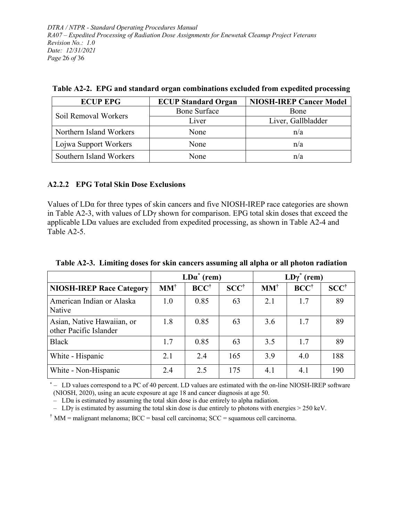*DTRA / NTPR - Standard Operating Procedures Manual RA07 – Expedited Processing of Radiation Dose Assignments for Enewetak Cleanup Project Veterans Revision No.: 1.0 Date: 12/31/2021 Page* 26 *of* 36

| <b>ECUP EPG</b>         | <b>ECUP Standard Organ</b> | <b>NIOSH-IREP Cancer Model</b> |
|-------------------------|----------------------------|--------------------------------|
| Soil Removal Workers    | <b>Bone Surface</b>        | <b>B</b> one                   |
|                         | Liver                      | Liver, Gallbladder             |
| Northern Island Workers | None                       | n/a                            |
| Lojwa Support Workers   | None                       | n/a                            |
| Southern Island Workers | None                       | n/a                            |

<span id="page-25-0"></span>**Table A2-2. EPG and standard organ combinations excluded from expedited processing**

#### **A2.2.2 EPG Total Skin Dose Exclusions**

Values of LDα for three types of skin cancers and five NIOSH-IREP race categories are shown in [Table](#page-25-1) A2-3, with values of LDγ shown for comparison. EPG total skin doses that exceed the applicable LDα values are excluded from expedited processing, as shown in [Table](#page-26-0) A2-4 and [Table](#page-27-0) A2-5.

|                                                      |                | $LD\alpha^*$ (rem) |                 | $LD\gamma^*$ (rem) |                 |                 |  |  |
|------------------------------------------------------|----------------|--------------------|-----------------|--------------------|-----------------|-----------------|--|--|
| <b>NIOSH-IREP Race Category</b>                      | $MM^{\dagger}$ | $BCC^{\dagger}$    | $SCC^{\dagger}$ | $MM^{\dagger}$     | $BCC^{\dagger}$ | $SCC^{\dagger}$ |  |  |
| American Indian or Alaska<br>Native                  | 1.0            | 0.85               | 63              | 2.1                | 1.7             | 89              |  |  |
| Asian, Native Hawaiian, or<br>other Pacific Islander | 1.8            | 0.85               | 63              | 3.6                | 1.7             | 89              |  |  |
| <b>Black</b>                                         | 1.7            | 0.85               | 63              | 3.5                | 1.7             | 89              |  |  |
| White - Hispanic                                     | 2.1            | 2.4                | 165             | 3.9                | 4.0             | 188             |  |  |
| White - Non-Hispanic                                 | 2.4            | 2.5                | 175             | 4.1                | 4.1             | 190             |  |  |

<span id="page-25-1"></span>**Table A2-3. Limiting doses for skin cancers assuming all alpha or all photon radiation**

\* – LD values correspond to a PC of 40 percent. LD values are estimated with the on-line NIOSH-IREP software (NIOSH, 2020), using an acute exposure at age 18 and cancer diagnosis at age 50.

 $-$  LD $\alpha$  is estimated by assuming the total skin dose is due entirely to alpha radiation.

– LD $\gamma$  is estimated by assuming the total skin dose is due entirely to photons with energies  $>$  250 keV.

<sup> $\dagger$ </sup> MM = malignant melanoma; BCC = basal cell carcinoma; SCC = squamous cell carcinoma.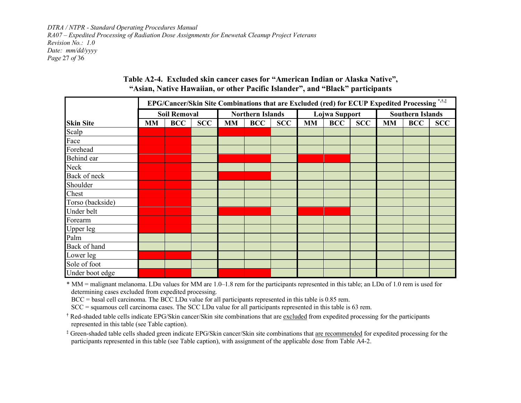*DTRA / NTPR - Standard Operating Procedures Manual RA07 – Expedited Processing of Radiation Dose Assignments for Enewetak Cleanup Project Veterans Revision No.: 1.0 Date: mm/dd/yyyy Page* 27 *of* 36

<span id="page-26-0"></span>

|                  |           | EPG/Cancer/Skin Site Combinations that are Excluded (red) for ECUP Expedited Processing *,†,‡ |            |           |                         |            |                                       |               |  |                         |            |  |  |  |
|------------------|-----------|-----------------------------------------------------------------------------------------------|------------|-----------|-------------------------|------------|---------------------------------------|---------------|--|-------------------------|------------|--|--|--|
|                  |           | <b>Soil Removal</b>                                                                           |            |           | <b>Northern Islands</b> |            |                                       | Lojwa Support |  | <b>Southern Islands</b> |            |  |  |  |
| <b>Skin Site</b> | <b>MM</b> | <b>BCC</b>                                                                                    | <b>SCC</b> | <b>MM</b> | <b>BCC</b>              | <b>SCC</b> | <b>BCC</b><br><b>SCC</b><br><b>MM</b> |               |  | <b>MM</b>               | <b>SCC</b> |  |  |  |
| Scalp            |           |                                                                                               |            |           |                         |            |                                       |               |  |                         |            |  |  |  |
| Face             |           |                                                                                               |            |           |                         |            |                                       |               |  |                         |            |  |  |  |
| Forehead         |           |                                                                                               |            |           |                         |            |                                       |               |  |                         |            |  |  |  |
| Behind ear       |           |                                                                                               |            |           |                         |            |                                       |               |  |                         |            |  |  |  |
| Neck             |           |                                                                                               |            |           |                         |            |                                       |               |  |                         |            |  |  |  |
| Back of neck     |           |                                                                                               |            |           |                         |            |                                       |               |  |                         |            |  |  |  |
| Shoulder         |           |                                                                                               |            |           |                         |            |                                       |               |  |                         |            |  |  |  |
| Chest            |           |                                                                                               |            |           |                         |            |                                       |               |  |                         |            |  |  |  |
| Torso (backside) |           |                                                                                               |            |           |                         |            |                                       |               |  |                         |            |  |  |  |
| Under belt       |           |                                                                                               |            |           |                         |            |                                       |               |  |                         |            |  |  |  |
| Forearm          |           |                                                                                               |            |           |                         |            |                                       |               |  |                         |            |  |  |  |
| Upper leg        |           |                                                                                               |            |           |                         |            |                                       |               |  |                         |            |  |  |  |
| Palm             |           |                                                                                               |            |           |                         |            |                                       |               |  |                         |            |  |  |  |
| Back of hand     |           |                                                                                               |            |           |                         |            |                                       |               |  |                         |            |  |  |  |
| Lower leg        |           |                                                                                               |            |           |                         |            |                                       |               |  |                         |            |  |  |  |
| Sole of foot     |           |                                                                                               |            |           |                         |            |                                       |               |  |                         |            |  |  |  |
| Under boot edge  |           |                                                                                               |            |           |                         |            |                                       |               |  |                         |            |  |  |  |

#### **Table A2-4. Excluded skin cancer cases for "American Indian or Alaska Native", "Asian, Native Hawaiian, or other Pacific Islander", and "Black" participants**

 $*$  MM = malignant melanoma. LD $\alpha$  values for MM are 1.0–1.8 rem for the participants represented in this table; an LD $\alpha$  of 1.0 rem is used for determining cases excluded from expedited processing.

BCC = basal cell carcinoma. The BCC LDα value for all participants represented in this table is 0.85 rem.

 $SCC =$  squamous cell carcinoma cases. The SCC LD $\alpha$  value for all participants represented in this table is 63 rem.

**†** Red-shaded table cells indicate EPG/Skin cancer/Skin site combinations that are excluded from expedited processing for the participants represented in this table (see Table caption).

**‡** Green-shaded table cells shaded green indicate EPG/Skin cancer/Skin site combinations that are recommended for expedited processing for the participants represented in this table (see Table caption), with assignment of the applicable dose from Table [A4-2.](#page-35-1)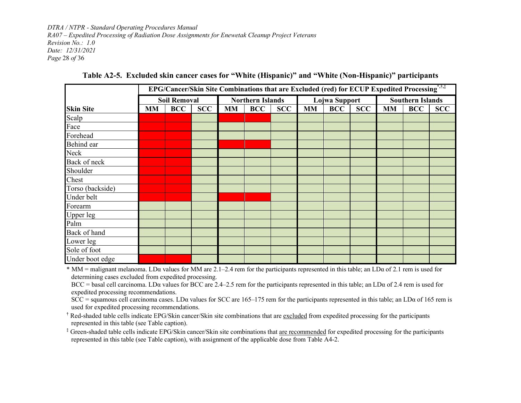*DTRA / NTPR - Standard Operating Procedures Manual RA07 – Expedited Processing of Radiation Dose Assignments for Enewetak Cleanup Project Veterans Revision No.: 1.0 Date: 12/31/2021 Page* 28 *of* 36

|                  | EPG/Cancer/Skin Site Combinations that are Excluded (red) for ECUP Expedited Processing*,†,‡ |                     |     |    |                         |            |           |               |            |                         |            |            |  |  |
|------------------|----------------------------------------------------------------------------------------------|---------------------|-----|----|-------------------------|------------|-----------|---------------|------------|-------------------------|------------|------------|--|--|
|                  |                                                                                              | <b>Soil Removal</b> |     |    | <b>Northern Islands</b> |            |           | Lojwa Support |            | <b>Southern Islands</b> |            |            |  |  |
| <b>Skin Site</b> | <b>MM</b>                                                                                    | <b>BCC</b>          | SCC | MM | <b>BCC</b>              | <b>SCC</b> | <b>MM</b> | <b>BCC</b>    | <b>SCC</b> | <b>MM</b>               | <b>BCC</b> | <b>SCC</b> |  |  |
| Scalp            |                                                                                              |                     |     |    |                         |            |           |               |            |                         |            |            |  |  |
| Face             |                                                                                              |                     |     |    |                         |            |           |               |            |                         |            |            |  |  |
| Forehead         |                                                                                              |                     |     |    |                         |            |           |               |            |                         |            |            |  |  |
| Behind ear       |                                                                                              |                     |     |    |                         |            |           |               |            |                         |            |            |  |  |
| Neck             |                                                                                              |                     |     |    |                         |            |           |               |            |                         |            |            |  |  |
| Back of neck     |                                                                                              |                     |     |    |                         |            |           |               |            |                         |            |            |  |  |
| Shoulder         |                                                                                              |                     |     |    |                         |            |           |               |            |                         |            |            |  |  |
| Chest            |                                                                                              |                     |     |    |                         |            |           |               |            |                         |            |            |  |  |
| Torso (backside) |                                                                                              |                     |     |    |                         |            |           |               |            |                         |            |            |  |  |
| Under belt       |                                                                                              |                     |     |    |                         |            |           |               |            |                         |            |            |  |  |
| Forearm          |                                                                                              |                     |     |    |                         |            |           |               |            |                         |            |            |  |  |
| <b>Upper leg</b> |                                                                                              |                     |     |    |                         |            |           |               |            |                         |            |            |  |  |
| Palm             |                                                                                              |                     |     |    |                         |            |           |               |            |                         |            |            |  |  |
| Back of hand     |                                                                                              |                     |     |    |                         |            |           |               |            |                         |            |            |  |  |
| Lower leg        |                                                                                              |                     |     |    |                         |            |           |               |            |                         |            |            |  |  |
| Sole of foot     |                                                                                              |                     |     |    |                         |            |           |               |            |                         |            |            |  |  |
| Under boot edge  |                                                                                              |                     |     |    |                         |            |           |               |            |                         |            |            |  |  |

**Table A2-5. Excluded skin cancer cases for "White (Hispanic)" and "White (Non-Hispanic)" participants**

<span id="page-27-0"></span>\* MM = malignant melanoma. LD $\alpha$  values for MM are 2.1–2.4 rem for the participants represented in this table; an LD $\alpha$  of 2.1 rem is used for determining cases excluded from expedited processing.

BCC = basal cell carcinoma. LD $\alpha$  values for BCC are 2.4–2.5 rem for the participants represented in this table; an LD $\alpha$  of 2.4 rem is used for expedited processing recommendations.

SCC = squamous cell carcinoma cases. LD $\alpha$  values for SCC are 165–175 rem for the participants represented in this table; an LD $\alpha$  of 165 rem is used for expedited processing recommendations.

**†** Red-shaded table cells indicate EPG/Skin cancer/Skin site combinations that are excluded from expedited processing for the participants represented in this table (see Table caption).

**‡** Green-shaded table cells indicate EPG/Skin cancer/Skin site combinations that are recommended for expedited processing for the participants represented in this table (see Table caption), with assignment of the applicable dose from [Table](#page-35-1) A4-2.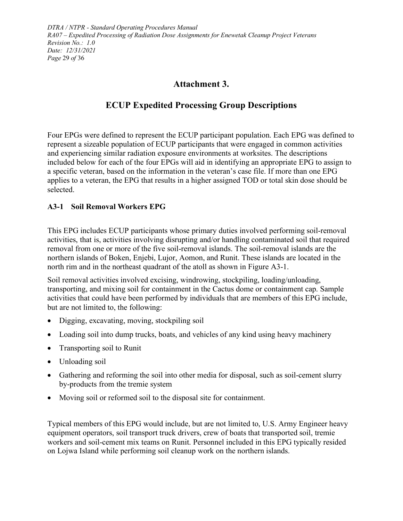# **Attachment 3.**

# **ECUP Expedited Processing Group Descriptions**

<span id="page-28-0"></span>Four EPGs were defined to represent the ECUP participant population. Each EPG was defined to represent a sizeable population of ECUP participants that were engaged in common activities and experiencing similar radiation exposure environments at worksites. The descriptions included below for each of the four EPGs will aid in identifying an appropriate EPG to assign to a specific veteran, based on the information in the veteran's case file. If more than one EPG applies to a veteran, the EPG that results in a higher assigned TOD or total skin dose should be selected.

### <span id="page-28-1"></span>**A3-1 Soil Removal Workers EPG**

This EPG includes ECUP participants whose primary duties involved performing soil-removal activities, that is, activities involving disrupting and/or handling contaminated soil that required removal from one or more of the five soil-removal islands. The soil-removal islands are the northern islands of Boken, Enjebi, Lujor, Aomon, and Runit. These islands are located in the north rim and in the northeast quadrant of the atoll as shown in [Figure](#page-31-0) A3-1.

Soil removal activities involved excising, windrowing, stockpiling, loading/unloading, transporting, and mixing soil for containment in the Cactus dome or containment cap. Sample activities that could have been performed by individuals that are members of this EPG include, but are not limited to, the following:

- Digging, excavating, moving, stockpiling soil
- Loading soil into dump trucks, boats, and vehicles of any kind using heavy machinery
- Transporting soil to Runit
- Unloading soil
- Gathering and reforming the soil into other media for disposal, such as soil-cement slurry by-products from the tremie system
- Moving soil or reformed soil to the disposal site for containment.

Typical members of this EPG would include, but are not limited to, U.S. Army Engineer heavy equipment operators, soil transport truck drivers, crew of boats that transported soil, tremie workers and soil-cement mix teams on Runit. Personnel included in this EPG typically resided on Lojwa Island while performing soil cleanup work on the northern islands.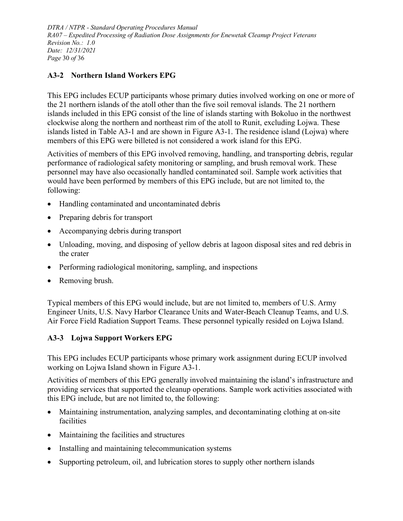*DTRA / NTPR - Standard Operating Procedures Manual RA07 – Expedited Processing of Radiation Dose Assignments for Enewetak Cleanup Project Veterans Revision No.: 1.0 Date: 12/31/2021 Page* 30 *of* 36

### <span id="page-29-0"></span>**A3-2 Northern Island Workers EPG**

This EPG includes ECUP participants whose primary duties involved working on one or more of the 21 northern islands of the atoll other than the five soil removal islands. The 21 northern islands included in this EPG consist of the line of islands starting with Bokoluo in the northwest clockwise along the northern and northeast rim of the atoll to Runit, excluding Lojwa. These islands listed in [Table](#page-32-0) A3-1 and are shown in [Figure](#page-31-0) A3-1. The residence island (Lojwa) where members of this EPG were billeted is not considered a work island for this EPG.

Activities of members of this EPG involved removing, handling, and transporting debris, regular performance of radiological safety monitoring or sampling, and brush removal work. These personnel may have also occasionally handled contaminated soil. Sample work activities that would have been performed by members of this EPG include, but are not limited to, the following:

- Handling contaminated and uncontaminated debris
- Preparing debris for transport
- Accompanying debris during transport
- Unloading, moving, and disposing of yellow debris at lagoon disposal sites and red debris in the crater
- Performing radiological monitoring, sampling, and inspections
- Removing brush.

Typical members of this EPG would include, but are not limited to, members of U.S. Army Engineer Units, U.S. Navy Harbor Clearance Units and Water-Beach Cleanup Teams, and U.S. Air Force Field Radiation Support Teams. These personnel typically resided on Lojwa Island.

### <span id="page-29-1"></span>**A3-3 Lojwa Support Workers EPG**

This EPG includes ECUP participants whose primary work assignment during ECUP involved working on Lojwa Island shown in [Figure](#page-31-0) A3-1.

Activities of members of this EPG generally involved maintaining the island's infrastructure and providing services that supported the cleanup operations. Sample work activities associated with this EPG include, but are not limited to, the following:

- Maintaining instrumentation, analyzing samples, and decontaminating clothing at on-site facilities
- Maintaining the facilities and structures
- Installing and maintaining telecommunication systems
- Supporting petroleum, oil, and lubrication stores to supply other northern islands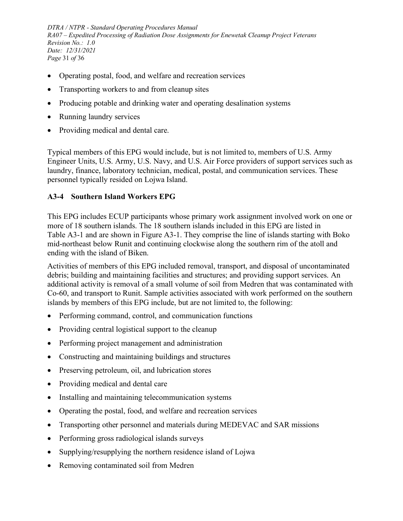*DTRA / NTPR - Standard Operating Procedures Manual RA07 – Expedited Processing of Radiation Dose Assignments for Enewetak Cleanup Project Veterans Revision No.: 1.0 Date: 12/31/2021 Page* 31 *of* 36

- Operating postal, food, and welfare and recreation services
- Transporting workers to and from cleanup sites
- Producing potable and drinking water and operating desalination systems
- Running laundry services
- Providing medical and dental care.

Typical members of this EPG would include, but is not limited to, members of U.S. Army Engineer Units, U.S. Army, U.S. Navy, and U.S. Air Force providers of support services such as laundry, finance, laboratory technician, medical, postal, and communication services. These personnel typically resided on Lojwa Island.

#### <span id="page-30-0"></span>**A3-4 Southern Island Workers EPG**

This EPG includes ECUP participants whose primary work assignment involved work on one or more of 18 southern islands. The 18 southern islands included in this EPG are listed in [Table](#page-32-0) A3-1 and are shown in [Figure](#page-31-0) A3-1. They comprise the line of islands starting with Boko mid-northeast below Runit and continuing clockwise along the southern rim of the atoll and ending with the island of Biken.

Activities of members of this EPG included removal, transport, and disposal of uncontaminated debris; building and maintaining facilities and structures; and providing support services. An additional activity is removal of a small volume of soil from Medren that was contaminated with Co-60, and transport to Runit. Sample activities associated with work performed on the southern islands by members of this EPG include, but are not limited to, the following:

- Performing command, control, and communication functions
- Providing central logistical support to the cleanup
- Performing project management and administration
- Constructing and maintaining buildings and structures
- Preserving petroleum, oil, and lubrication stores
- Providing medical and dental care
- Installing and maintaining telecommunication systems
- Operating the postal, food, and welfare and recreation services
- Transporting other personnel and materials during MEDEVAC and SAR missions
- Performing gross radiological islands surveys
- Supplying/resupplying the northern residence island of Lojwa
- Removing contaminated soil from Medren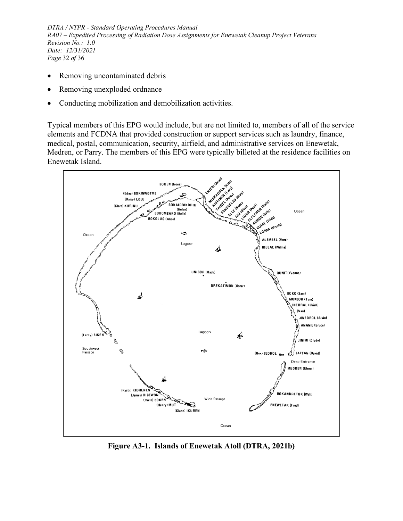*DTRA / NTPR - Standard Operating Procedures Manual RA07 – Expedited Processing of Radiation Dose Assignments for Enewetak Cleanup Project Veterans Revision No.: 1.0 Date: 12/31/2021 Page* 32 *of* 36

- Removing uncontaminated debris
- Removing unexploded ordnance
- Conducting mobilization and demobilization activities.

Typical members of this EPG would include, but are not limited to, members of all of the service elements and FCDNA that provided construction or support services such as laundry, finance, medical, postal, communication, security, airfield, and administrative services on Enewetak, Medren, or Parry. The members of this EPG were typically billeted at the residence facilities on Enewetak Island.



<span id="page-31-0"></span>**Figure A3-1. Islands of Enewetak Atoll (DTRA, 2021b)**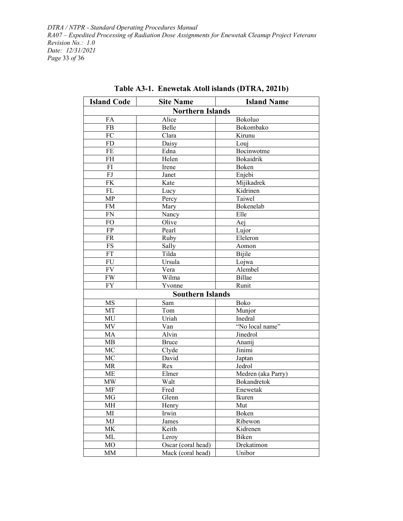*DTRA / NTPR - Standard Operating Procedures Manual RA07 – Expedited Processing of Radiation Dose Assignments for Enewetak Cleanup Project Veterans Revision No.: 1.0 Date: 12/31/2021 Page* 33 *of* 36

<span id="page-32-0"></span>

| <b>Island Code</b> | <b>Site Name</b>                          | <b>Island Name</b> |  |  |  |  |  |  |
|--------------------|-------------------------------------------|--------------------|--|--|--|--|--|--|
|                    | <b>Northern Islands</b>                   |                    |  |  |  |  |  |  |
| FA                 | Alice                                     | Bokoluo            |  |  |  |  |  |  |
| <b>FB</b>          | Belle                                     | Bokombako          |  |  |  |  |  |  |
| FC                 | Clara                                     | Kirunu             |  |  |  |  |  |  |
| <b>FD</b>          | Daisy                                     | Louj               |  |  |  |  |  |  |
| <b>FE</b>          | Edna                                      | Bocinwotme         |  |  |  |  |  |  |
| FH                 | Helen                                     | Bokaidrik          |  |  |  |  |  |  |
| FI                 | Irene                                     | Boken              |  |  |  |  |  |  |
| FJ                 | Janet                                     | Enjebi             |  |  |  |  |  |  |
| <b>FK</b>          | Kate                                      | Mijikadrek         |  |  |  |  |  |  |
| FL                 | Lucy                                      | Kidrinen           |  |  |  |  |  |  |
| MP                 | Percy                                     | Taiwel             |  |  |  |  |  |  |
| FM                 | Mary                                      | Bokenelab          |  |  |  |  |  |  |
| ${\rm FN}$         | Nancy                                     | Elle               |  |  |  |  |  |  |
| FO                 | Olive                                     | Aej                |  |  |  |  |  |  |
| FP                 | Pearl                                     | Lujor              |  |  |  |  |  |  |
| <b>FR</b>          | Ruby                                      | Eleleron           |  |  |  |  |  |  |
| FS                 | Sally                                     | Aomon              |  |  |  |  |  |  |
| FT                 | Tilda                                     | Bijile             |  |  |  |  |  |  |
| FU                 | Ursula                                    | Lojwa              |  |  |  |  |  |  |
| <b>FV</b>          | Vera                                      | Alembel            |  |  |  |  |  |  |
| <b>FW</b>          | Wilma                                     | <b>Billae</b>      |  |  |  |  |  |  |
| <b>FY</b>          | Yvonne                                    | Runit              |  |  |  |  |  |  |
|                    | <b>Southern Islands</b>                   |                    |  |  |  |  |  |  |
| MS                 | Sam                                       | Boko               |  |  |  |  |  |  |
| MT                 | Tom                                       | Munjor             |  |  |  |  |  |  |
| MU                 | Uriah                                     | Inedral            |  |  |  |  |  |  |
| MV                 | Van                                       | "No local name"    |  |  |  |  |  |  |
| MA                 | Alvin                                     | Jinedrol           |  |  |  |  |  |  |
| MB                 | <b>Bruce</b>                              | Ananij             |  |  |  |  |  |  |
| MC                 | Clyde                                     | Jinimi             |  |  |  |  |  |  |
| MC                 | David                                     | Japtan             |  |  |  |  |  |  |
| <b>MR</b>          | Rex                                       | Jedrol             |  |  |  |  |  |  |
| <b>ME</b>          | Elmer                                     | Medren (aka Parry) |  |  |  |  |  |  |
| <b>MW</b>          | Walt                                      | Bokandretok        |  |  |  |  |  |  |
| MF                 | Fred                                      | Enewetak           |  |  |  |  |  |  |
| MG                 | Glenn                                     | Ikuren             |  |  |  |  |  |  |
| MH                 | Henry                                     | Mut                |  |  |  |  |  |  |
| MI                 | Irwin                                     | Boken              |  |  |  |  |  |  |
| MJ                 | James                                     | Ribewon            |  |  |  |  |  |  |
| MK                 | Keith                                     | Kidrenen           |  |  |  |  |  |  |
| ML                 | Leroy                                     | Biken              |  |  |  |  |  |  |
| MO                 | $\overline{\mathrm{O}}$ scar (coral head) | Drekatimon         |  |  |  |  |  |  |
| MM                 | Mack (coral head)                         | Unibor             |  |  |  |  |  |  |

### **Table A3-1. Enewetak Atoll islands (DTRA, 2021b)**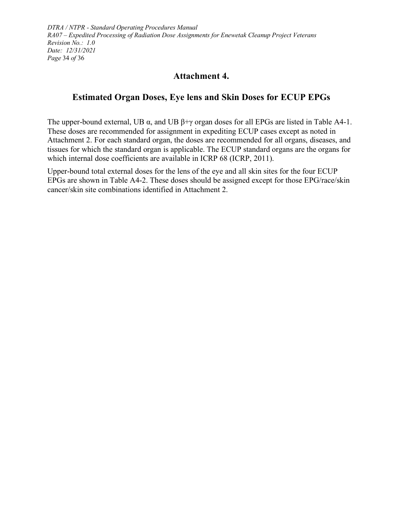*DTRA / NTPR - Standard Operating Procedures Manual RA07 – Expedited Processing of Radiation Dose Assignments for Enewetak Cleanup Project Veterans Revision No.: 1.0 Date: 12/31/2021 Page* 34 *of* 36

## **Attachment 4.**

## <span id="page-33-0"></span>**Estimated Organ Doses, Eye lens and Skin Doses for ECUP EPGs**

The upper-bound external, UB  $\alpha$ , and UB  $\beta + \gamma$  organ doses for all EPGs are listed in [Table](#page-34-0) A4-1. These doses are recommended for assignment in expediting ECUP cases except as noted in [Attachment 2.](#page-22-0) For each standard organ, the doses are recommended for all organs, diseases, and tissues for which the standard organ is applicable. The ECUP standard organs are the organs for which internal dose coefficients are available in ICRP 68 (ICRP, 2011).

Upper-bound total external doses for the lens of the eye and all skin sites for the four ECUP EPGs are shown in [Table](#page-35-0) A4-2. These doses should be assigned except for those EPG/race/skin cancer/skin site combinations identified in [Attachment 2.](#page-22-0)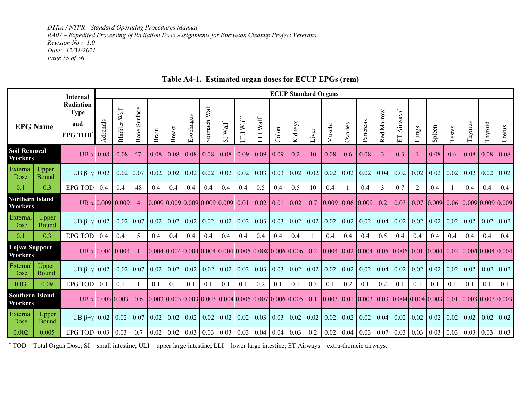*DTRA / NTPR - Standard Operating Procedures Manual RA07 – Expedited Processing of Radiation Dose Assignments for Enewetak Cleanup Project Veterans Revision No.: 1.0 Date: 12/31/2021 Page* 35 *of* 36

<span id="page-34-0"></span>

|                                   |                | <b>Internal</b>                                          |                          | <b>ECUP Standard Organs</b> |                 |       |               |           |                                       |                                                                                   |                                           |                         |       |         |       |                                            |         |                   |            |                   |                |                                      |        |                             |         |        |
|-----------------------------------|----------------|----------------------------------------------------------|--------------------------|-----------------------------|-----------------|-------|---------------|-----------|---------------------------------------|-----------------------------------------------------------------------------------|-------------------------------------------|-------------------------|-------|---------|-------|--------------------------------------------|---------|-------------------|------------|-------------------|----------------|--------------------------------------|--------|-----------------------------|---------|--------|
| <b>EPG Name</b>                   |                | <b>Radiation</b><br><b>Type</b><br>and<br><b>EPG TOD</b> | drenals                  | Bladder Wall                | Surface<br>Bone | Brain | <b>Breast</b> | Esophagus | $\ensuremath{\text{Wall}}$<br>Stomach | $Wall^*$<br>$\overline{S}$                                                        | $\ensuremath{\text{Wall}}\xspace^*$<br>ЦU | $LLI$ Wall <sup>*</sup> | Colon | Kidneys | Liver | Muscle                                     | Ovaries | Pancreas          | Red Marrow | Airways"<br>日     | Lungs          | Spleen                               | Testes | Thymus                      | Thyroid | Uterus |
| <b>Soil Removal</b><br>Workers    |                | UB $\alpha$                                              | 0.08                     | 0.08                        | 47              | 0.08  | 0.08          | 0.08      | 0.08                                  | 0.08                                                                              | 0.09                                      | 0.09                    | 0.09  | 0.2     | 10    | 0.08                                       | 0.6     | 0.08              | 3          | 0.3               |                | 0.08                                 | 0.6    | 0.08                        | 0.08    | 0.08   |
| <b>External</b><br>Dose           | Upper<br>Bound | UB $\beta + \gamma$ 0.02                                 |                          | 0.02                        | 0.07            | 0.02  | 0.02          | 0.02      | 0.02                                  | 0.02                                                                              | 0.02                                      | 0.03                    | 0.03  | 0.02    | 0.02  | 0.02                                       | 0.02    | 0.02              | 0.04       | 0.02              | 0.02           | 0.02                                 | 0.02   | 0.02                        | 0.02    | 0.02   |
| 0.1                               | 0.3            | <b>EPG TOD</b>                                           | 0.4                      | 0.4                         | 48              | 0.4   | 0.4           | 0.4       | 0.4                                   | 0.4                                                                               | 0.4                                       | 0.5                     | 0.4   | 0.5     | 10    | 0.4                                        |         | 0.4               | 3          | 0.7               | $\overline{c}$ | 0.4                                  |        | 0.4                         | 0.4     | 0.4    |
| <b>Northern Island</b><br>Workers |                |                                                          | UB $\alpha$ 0.009 0.009  |                             | $\overline{4}$  |       |               |           |                                       | [0.009]0.009]0.009]0.009]0.009]0.01                                               |                                           | 0.02                    | 0.01  | 0.02    | 0.7   | 0.009                                      |         | $0.06 \mid 0.009$ | 0.2        | 0.03              | 0.07           | $[0.009]$ 0.06 $[0.009]$ 0.009 0.009 |        |                             |         |        |
| External<br>Dose                  | Upper<br>Bound | UB $\beta + \gamma$ 0.02                                 |                          | 0.02                        | 0.07            | 0.02  | 0.02          | 0.02      | 0.02                                  | 0.02                                                                              | 0.02                                      | 0.03                    | 0.03  | 0.02    | 0.02  | 0.02                                       | 0.02    | 0.02              | 0.04       | 0.02              | 0.02           | 0.02                                 | 0.02   | 0.02                        | 0.02    | 0.02   |
| 0.1                               | 0.3            | <b>EPG TOD</b>                                           | 0.4                      | 0.4                         | 5               | 0.4   | 0.4           | 0.4       | 0.4                                   | 0.4                                                                               | 0.4                                       | 0.4                     | 0.4   | 0.4     |       | 0.4                                        | 0.4     | 0.4               | 0.5        | 0.4               | 0.4            | 0.4                                  | 0.4    | 0.4                         | 0.4     | 0.4    |
| Lojwa Support<br>Workers          |                |                                                          | UB $\alpha$ 0.004 0.004  |                             |                 |       |               |           |                                       | $[0.004] 0.004] 0.004] 0.004] 0.004] 0.005] 0.008] 0.006] 0.006$                  |                                           |                         |       |         | 0.2   | $\vert 0.004 \vert 0.02 \vert 0.004 \vert$ |         |                   |            | $0.05$ 0.006 0.01 |                | $[0.004]$ 0.02 $[0.004]$ 0.004 0.004 |        |                             |         |        |
| External<br>Dose                  | Upper<br>Bound | UB $\beta + \gamma$ 0.02                                 |                          | 0.02                        | 0.07            | 0.02  | 0.02          | 0.02      | 0.02                                  | 0.02                                                                              | 0.02                                      | 0.03                    | 0.03  | 0.02    | 0.02  | 0.02                                       | 0.02    | 0.02              | 0.04       | 0.02              | 0.02           | 0.02                                 | 0.02   | 0.02                        | 0.02    | 0.02   |
| 0.03                              | 0.09           | <b>EPG TOD</b>                                           | 0.1                      | 0.1                         | -1              | 0.1   | 0.1           | 0.1       | 0.1                                   | 0.1                                                                               | 0.1                                       | 0.2                     | 0.1   | 0.1     | 0.3   | 0.1                                        | 0.2     | 0.1               | 0.2        | 0.1               | 0.1            | 0.1                                  | 0.1    | 0.1                         | 0.1     | 0.1    |
| <b>Southern Island</b><br>Workers |                |                                                          | UB $\alpha$ 10.00310.003 |                             | 0.6             |       |               |           |                                       | $[0.003 \, 0.003 \, 0.003 \, 0.003 \, 0.004 \, 0.005 \, 0.007 \, 0.006 \, 0.005]$ |                                           |                         |       |         | 0.1   | 0.003 0.01                                 |         | 0.003             | 0.03       |                   |                | [0.004]0.004]0.003]0.01              |        | $[0.003 \, 0.003 \, 0.003]$ |         |        |
| External<br>Dose                  | Upper<br>Bound | UB $\beta + \gamma$ 0.02                                 |                          | 0.02                        | 0.07            | 0.02  | 0.02          | 0.02      | 0.02                                  | 0.02                                                                              | 0.02                                      | 0.03                    | 0.03  | 0.02    | 0.02  | 0.02                                       | 0.02    | 0.02              | 0.04       | 0.02              | 0.02           | 0.02                                 | 0.02   | 0.02                        | 0.02    | 0.02   |
| 0.002                             | 0.005          | EPG TOD $0.03$                                           |                          | 0.03                        | 0.7             | 0.02  | 0.02          | 0.03      | 0.03                                  | 0.03                                                                              | 0.03                                      | 0.04                    | 0.04  | 0.03    | 0.2   | 0.02                                       | 0.04    | 0.03              | 0.07       | 0.03              | 0.03           | 0.03                                 | 0.03   | 0.03                        | 0.03    | 0.03   |

#### **Table A4-1. Estimated organ doses for ECUP EPGs (rem)**

\* TOD = Total Organ Dose; SI = small intestine; ULI = upper large intestine; LLI = lower large intestine; ET Airways = extra-thoracic airways.